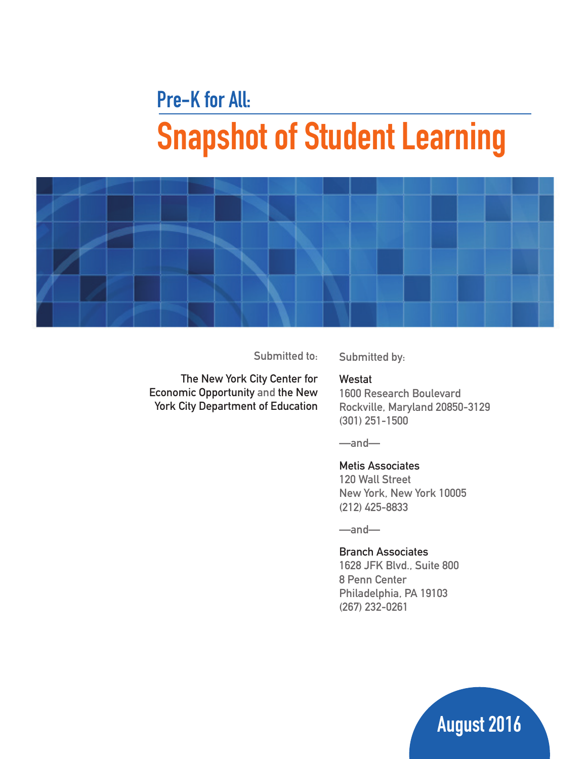# **Pre-K for All: Snapshot of Student Learning**



**Submitted to:**

**Submitted by:**

The New York City Center for Economic Opportunity **and the New York City Department of Education**

#### **Westat**

**1600 Research Boulevard Rockville, Maryland 20850-3129 (301) 251-1500**

**—and—**

#### **Metis Associates**

**120 Wall Street New York, New York 10005 (212) 425-8833**

**—and—**

#### **Branch Associates**

**1628 JFK Blvd., Suite 800 8 Penn Center Philadelphia, PA 19103 (267) 232-0261**

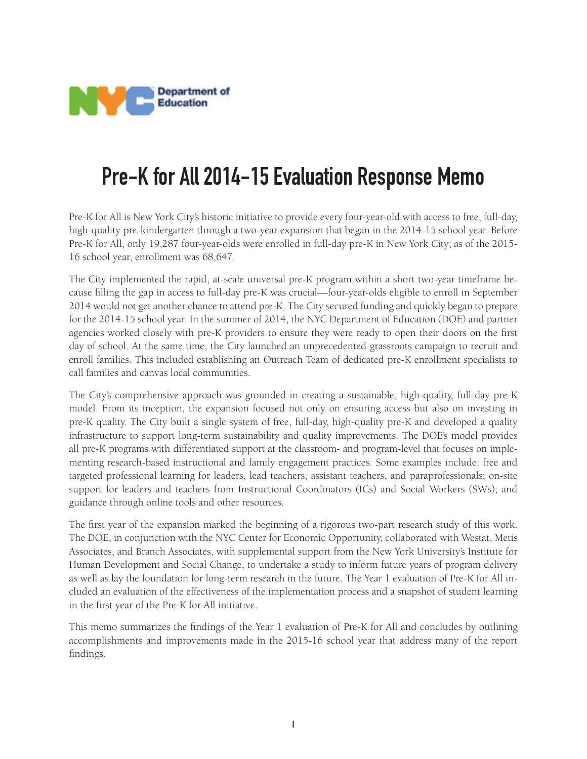

# **Pre-K for All 2014-15 Evaluation Response Memo**

Pre-K for All is New York City's historic initiative to provide every four-year-old with access to free, full-day, high-quality pre-kindergarten through a two-year expansion that began in the 2014-15 school year. Before Pre-K for All, only 19,287 four-year-olds were enrolled in full-day pre-K in New York City; as of the 2015- 16 school year, enrollment was 68,647.

The City implemented the rapid, at-scale universal pre-K program within a short two-year timeframe because filling the gap in access to full-day pre-K was crucial—four-year-olds eligible to enroll in September 2014 would not get another chance to attend pre-K. The City secured funding and quickly began to prepare for the 2014-15 school year. In the summer of 2014, the NYC Department of Education (DOE) and partner agencies worked closely with pre-K providers to ensure they were ready to open their doors on the first day of school. At the same time, the City launched an unprecedented grassroots campaign to recruit and enroll families. This included establishing an Outreach Team of dedicated pre-K enrollment specialists to call families and canvas local communities.

The City's comprehensive approach was grounded in creating a sustainable, high-quality, full-day pre-K model. From its inception, the expansion focused not only on ensuring access but also on investing in pre-K quality. The City built a single system of free, full-day, high-quality pre-K and developed a quality infrastructure to support long-term sustainability and quality improvements. The DOE's model provides all pre-K programs with differentiated support at the classroom- and program-level that focuses on implementing research-based instructional and family engagement practices. Some examples include: free and targeted professional learning for leaders, lead teachers, assistant teachers, and paraprofessionals; on-site support for leaders and teachers from Instructional Coordinators (ICs) and Social Workers (SWs); and guidance through online tools and other resources.

The first year of the expansion marked the beginning of a rigorous two-part research study of this work. The DOE, in conjunction with the NYC Center for Economic Opportunity, collaborated with Westat, Metis Associates, and Branch Associates, with supplemental support from the New York University's Institute for Human Development and Social Change, to undertake a study to inform future years of program delivery as well as lay the foundation for long-term research in the future. The Year 1 evaluation of Pre-K for All included an evaluation of the effectiveness of the implementation process and a snapshot of student learning in the first year of the Pre-K for All initiative.

This memo summarizes the findings of the Year 1 evaluation of Pre-K for All and concludes by outlining accomplishments and improvements made in the 2015-16 school year that address many of the report findings.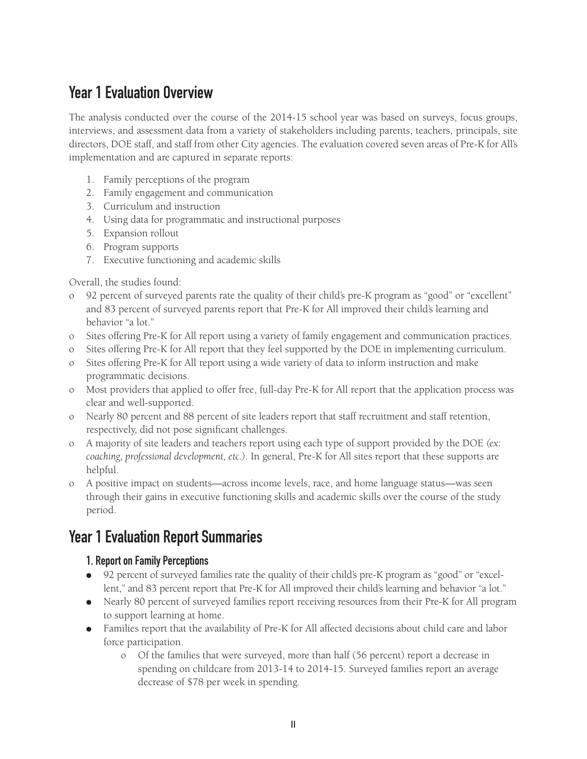# **Year 1 Evaluation Overview**

The analysis conducted over the course of the 2014-15 school year was based on surveys, focus groups, interviews, and assessment data from a variety of stakeholders including parents, teachers, principals, site directors, DOE staff, and staff from other City agencies. The evaluation covered seven areas of Pre-K for All's implementation and are captured in separate reports:

- 1. Family perceptions of the program
- 2. Family engagement and communication
- 3. Curriculum and instruction
- 4. Using data for programmatic and instructional purposes
- 5. Expansion rollout
- 6. Program supports
- 7. Executive functioning and academic skills

Overall, the studies found:

- 92 percent of surveyed parents rate the quality of their child's pre-K program as "good" or "excellent" and 83 percent of surveyed parents report that Pre-K for All improved their child's learning and behavior "a lot."
- o Sites offering Pre-K for All report using a variety of family engagement and communication practices.
- o Sites offering Pre-K for All report that they feel supported by the DOE in implementing curriculum.
- o Sites offering Pre-K for All report using a wide variety of data to inform instruction and make programmatic decisions.
- o Most providers that applied to offer free, full-day Pre-K for All report that the application process was clear and well-supported.
- o Nearly 80 percent and 88 percent of site leaders report that staff recruitment and staff retention, respectively, did not pose significant challenges.
- o A majority of site leaders and teachers report using each type of support provided by the DOE *(ex: coaching, professional development, etc.)*. In general, Pre-K for All sites report that these supports are helpful.
- o A positive impact on students—across income levels, race, and home language status—was seen through their gains in executive functioning skills and academic skills over the course of the study period.

# **Year 1 Evaluation Report Summaries**

#### **1. Report on Family Perceptions**

- 92 percent of surveyed families rate the quality of their child's pre-K program as "good" or "excellent," and 83 percent report that Pre-K for All improved their child's learning and behavior "a lot."
- Nearly 80 percent of surveyed families report receiving resources from their Pre-K for All program to support learning at home.
- Families report that the availability of Pre-K for All affected decisions about child care and labor force participation.
	- o Of the families that were surveyed, more than half (56 percent) report a decrease in spending on childcare from 2013-14 to 2014-15. Surveyed families report an average decrease of \$78 per week in spending.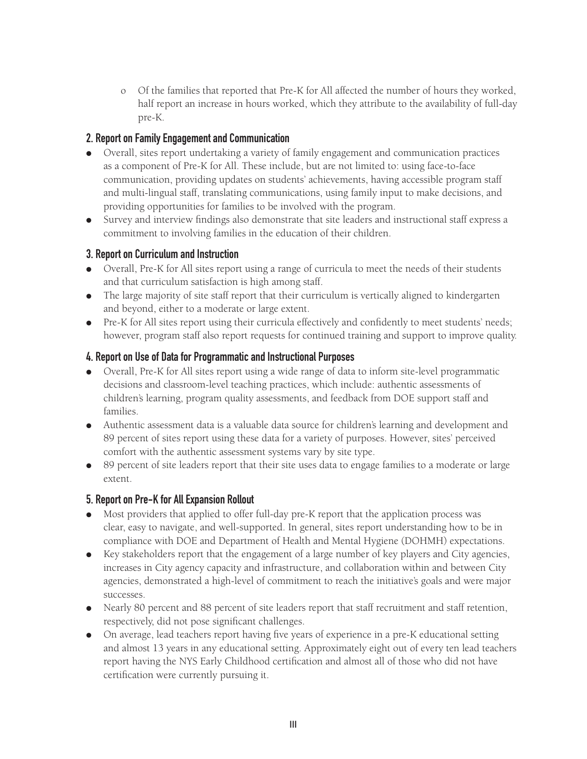o Of the families that reported that Pre-K for All affected the number of hours they worked, half report an increase in hours worked, which they attribute to the availability of full-day pre-K.

#### **2. Report on Family Engagement and Communication**

- Overall, sites report undertaking a variety of family engagement and communication practices as a component of Pre-K for All. These include, but are not limited to: using face-to-face communication, providing updates on students' achievements, having accessible program staff and multi-lingual staff, translating communications, using family input to make decisions, and providing opportunities for families to be involved with the program.
- Survey and interview findings also demonstrate that site leaders and instructional staff express a commitment to involving families in the education of their children.

#### **3. Report on Curriculum and Instruction**

- Overall, Pre-K for All sites report using a range of curricula to meet the needs of their students and that curriculum satisfaction is high among staff.
- The large majority of site staff report that their curriculum is vertically aligned to kindergarten and beyond, either to a moderate or large extent.
- Pre-K for All sites report using their curricula effectively and confidently to meet students' needs; however, program staff also report requests for continued training and support to improve quality.

#### **4. Report on Use of Data for Programmatic and Instructional Purposes**

- Overall, Pre-K for All sites report using a wide range of data to inform site-level programmatic decisions and classroom-level teaching practices, which include: authentic assessments of children's learning, program quality assessments, and feedback from DOE support staff and families.
- Authentic assessment data is a valuable data source for children's learning and development and 89 percent of sites report using these data for a variety of purposes. However, sites' perceived comfort with the authentic assessment systems vary by site type.
- 89 percent of site leaders report that their site uses data to engage families to a moderate or large extent.

#### **5. Report on Pre-K for All Expansion Rollout**

- Most providers that applied to offer full-day pre-K report that the application process was clear, easy to navigate, and well-supported. In general, sites report understanding how to be in compliance with DOE and Department of Health and Mental Hygiene (DOHMH) expectations.
- Key stakeholders report that the engagement of a large number of key players and City agencies, increases in City agency capacity and infrastructure, and collaboration within and between City agencies, demonstrated a high-level of commitment to reach the initiative's goals and were major successes.
- Nearly 80 percent and 88 percent of site leaders report that staff recruitment and staff retention, respectively, did not pose significant challenges.
- On average, lead teachers report having five years of experience in a pre-K educational setting and almost 13 years in any educational setting. Approximately eight out of every ten lead teachers report having the NYS Early Childhood certification and almost all of those who did not have certification were currently pursuing it.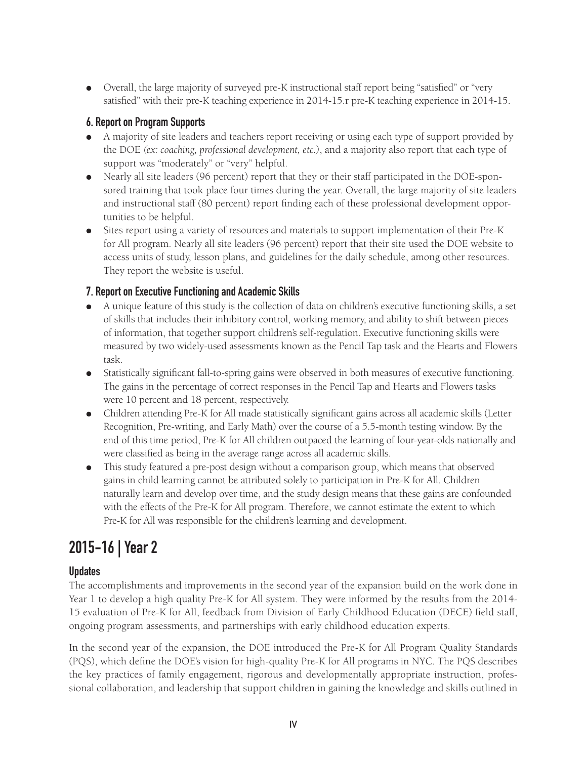● Overall, the large majority of surveyed pre-K instructional staff report being "satisfied" or "very satisfied" with their pre-K teaching experience in 2014-15.r pre-K teaching experience in 2014-15.

#### **6. Report on Program Supports**

- A majority of site leaders and teachers report receiving or using each type of support provided by the DOE *(ex: coaching, professional development, etc.)*, and a majority also report that each type of support was "moderately" or "very" helpful.
- Nearly all site leaders (96 percent) report that they or their staff participated in the DOE-sponsored training that took place four times during the year. Overall, the large majority of site leaders and instructional staff (80 percent) report finding each of these professional development opportunities to be helpful.
- Sites report using a variety of resources and materials to support implementation of their Pre-K for All program. Nearly all site leaders (96 percent) report that their site used the DOE website to access units of study, lesson plans, and guidelines for the daily schedule, among other resources. They report the website is useful.

#### **7. Report on Executive Functioning and Academic Skills**

- A unique feature of this study is the collection of data on children's executive functioning skills, a set of skills that includes their inhibitory control, working memory, and ability to shift between pieces of information, that together support children's self-regulation. Executive functioning skills were measured by two widely-used assessments known as the Pencil Tap task and the Hearts and Flowers task.
- Statistically significant fall-to-spring gains were observed in both measures of executive functioning. The gains in the percentage of correct responses in the Pencil Tap and Hearts and Flowers tasks were 10 percent and 18 percent, respectively.
- Children attending Pre-K for All made statistically significant gains across all academic skills (Letter Recognition, Pre-writing, and Early Math) over the course of a 5.5-month testing window. By the end of this time period, Pre-K for All children outpaced the learning of four-year-olds nationally and were classified as being in the average range across all academic skills.
- This study featured a pre-post design without a comparison group, which means that observed gains in child learning cannot be attributed solely to participation in Pre-K for All. Children naturally learn and develop over time, and the study design means that these gains are confounded with the effects of the Pre-K for All program. Therefore, we cannot estimate the extent to which Pre-K for All was responsible for the children's learning and development.

# **2015-16 | Year 2**

#### **Updates**

The accomplishments and improvements in the second year of the expansion build on the work done in Year 1 to develop a high quality Pre-K for All system. They were informed by the results from the 2014- 15 evaluation of Pre-K for All, feedback from Division of Early Childhood Education (DECE) field staff, ongoing program assessments, and partnerships with early childhood education experts.

In the second year of the expansion, the DOE introduced the Pre-K for All Program Quality Standards (PQS), which define the DOE's vision for high-quality Pre-K for All programs in NYC. The PQS describes the key practices of family engagement, rigorous and developmentally appropriate instruction, professional collaboration, and leadership that support children in gaining the knowledge and skills outlined in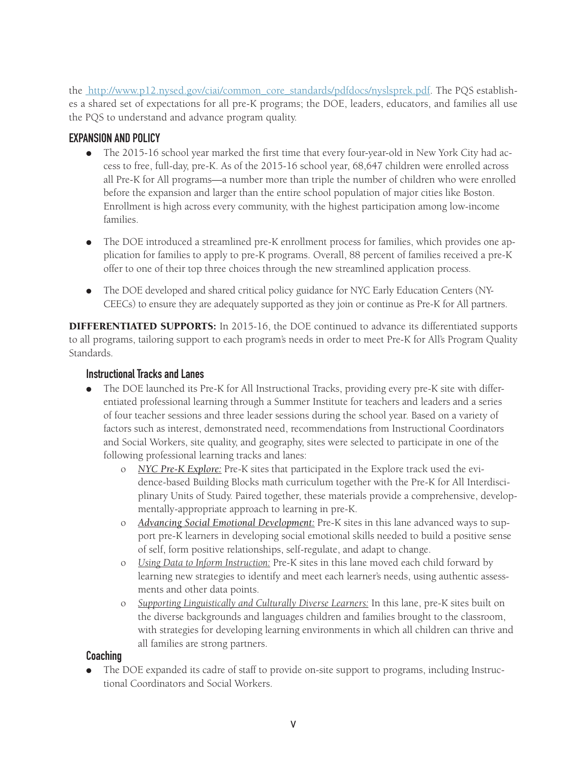the http://www.p12.nysed.gov/ciai/common\_core\_standards/pdfdocs/nyslsprek.pdf. The PQS establishes a shared set of expectations for all pre-K programs; the DOE, leaders, educators, and families all use the PQS to understand and advance program quality.

#### **EXPANSION AND POLICY**

- The 2015-16 school year marked the first time that every four-year-old in New York City had access to free, full-day, pre-K. As of the 2015-16 school year, 68,647 children were enrolled across all Pre-K for All programs—a number more than triple the number of children who were enrolled before the expansion and larger than the entire school population of major cities like Boston. Enrollment is high across every community, with the highest participation among low-income families.
- The DOE introduced a streamlined pre-K enrollment process for families, which provides one application for families to apply to pre-K programs. Overall, 88 percent of families received a pre-K offer to one of their top three choices through the new streamlined application process.
- The DOE developed and shared critical policy guidance for NYC Early Education Centers (NY-CEECs) to ensure they are adequately supported as they join or continue as Pre-K for All partners.

DIFFERENTIATED SUPPORTS: In 2015-16, the DOE continued to advance its differentiated supports to all programs, tailoring support to each program's needs in order to meet Pre-K for All's Program Quality Standards.

#### **Instructional Tracks and Lanes**

- The DOE launched its Pre-K for All Instructional Tracks, providing every pre-K site with differentiated professional learning through a Summer Institute for teachers and leaders and a series of four teacher sessions and three leader sessions during the school year. Based on a variety of factors such as interest, demonstrated need, recommendations from Instructional Coordinators and Social Workers, site quality, and geography, sites were selected to participate in one of the following professional learning tracks and lanes:
	- o *NYC Pre-K Explore:* Pre-K sites that participated in the Explore track used the evidence-based Building Blocks math curriculum together with the Pre-K for All Interdisciplinary Units of Study. Paired together, these materials provide a comprehensive, developmentally-appropriate approach to learning in pre-K.
	- o *Advancing Social Emotional Development:* Pre-K sites in this lane advanced ways to support pre-K learners in developing social emotional skills needed to build a positive sense of self, form positive relationships, self-regulate, and adapt to change.
	- o *Using Data to Inform Instruction:* Pre-K sites in this lane moved each child forward by learning new strategies to identify and meet each learner's needs, using authentic assessments and other data points.
	- o *Supporting Linguistically and Culturally Diverse Learners:* In this lane, pre-K sites built on the diverse backgrounds and languages children and families brought to the classroom, with strategies for developing learning environments in which all children can thrive and all families are strong partners.

#### **Coaching**

The DOE expanded its cadre of staff to provide on-site support to programs, including Instructional Coordinators and Social Workers.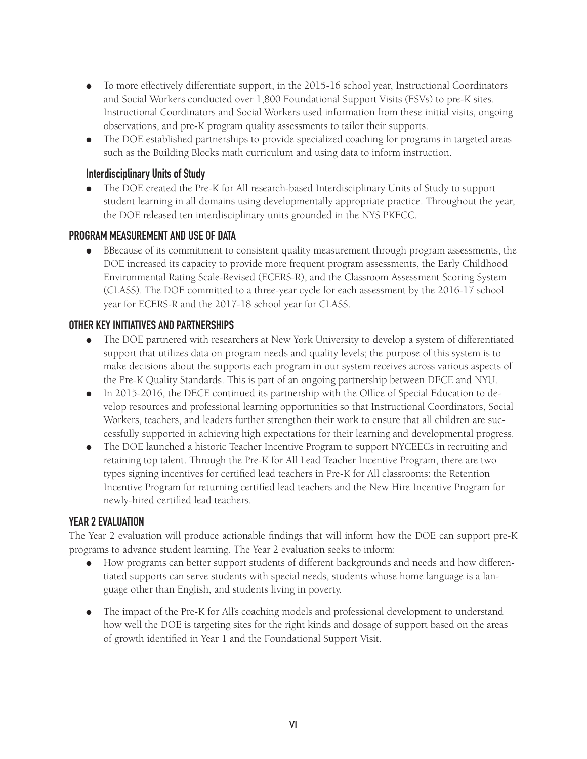- To more effectively differentiate support, in the 2015-16 school year, Instructional Coordinators and Social Workers conducted over 1,800 Foundational Support Visits (FSVs) to pre-K sites. Instructional Coordinators and Social Workers used information from these initial visits, ongoing observations, and pre-K program quality assessments to tailor their supports.
- The DOE established partnerships to provide specialized coaching for programs in targeted areas such as the Building Blocks math curriculum and using data to inform instruction.

#### **Interdisciplinary Units of Study**

● The DOE created the Pre-K for All research-based Interdisciplinary Units of Study to support student learning in all domains using developmentally appropriate practice. Throughout the year, the DOE released ten interdisciplinary units grounded in the NYS PKFCC.

#### **PROGRAM MEASUREMENT AND USE OF DATA**

● BBecause of its commitment to consistent quality measurement through program assessments, the DOE increased its capacity to provide more frequent program assessments, the Early Childhood Environmental Rating Scale-Revised (ECERS-R), and the Classroom Assessment Scoring System (CLASS). The DOE committed to a three-year cycle for each assessment by the 2016-17 school year for ECERS-R and the 2017-18 school year for CLASS.

#### **OTHER KEY INITIATIVES AND PARTNERSHIPS**

- The DOE partnered with researchers at New York University to develop a system of differentiated support that utilizes data on program needs and quality levels; the purpose of this system is to make decisions about the supports each program in our system receives across various aspects of the Pre-K Quality Standards. This is part of an ongoing partnership between DECE and NYU.
- In 2015-2016, the DECE continued its partnership with the Office of Special Education to develop resources and professional learning opportunities so that Instructional Coordinators, Social Workers, teachers, and leaders further strengthen their work to ensure that all children are successfully supported in achieving high expectations for their learning and developmental progress.
- The DOE launched a historic Teacher Incentive Program to support NYCEECs in recruiting and retaining top talent. Through the Pre-K for All Lead Teacher Incentive Program, there are two types signing incentives for certified lead teachers in Pre-K for All classrooms: the Retention Incentive Program for returning certified lead teachers and the New Hire Incentive Program for newly-hired certified lead teachers.

#### **YEAR 2 EVALUATION**

The Year 2 evaluation will produce actionable findings that will inform how the DOE can support pre-K programs to advance student learning. The Year 2 evaluation seeks to inform:

- How programs can better support students of different backgrounds and needs and how differentiated supports can serve students with special needs, students whose home language is a language other than English, and students living in poverty.
- The impact of the Pre-K for All's coaching models and professional development to understand how well the DOE is targeting sites for the right kinds and dosage of support based on the areas of growth identified in Year 1 and the Foundational Support Visit.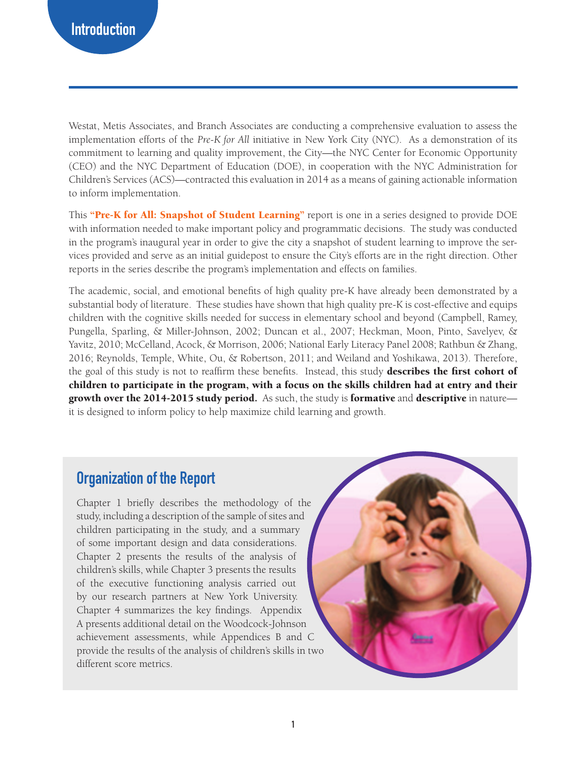Westat, Metis Associates, and Branch Associates are conducting a comprehensive evaluation to assess the implementation efforts of the *Pre-K for All* initiative in New York City (NYC). As a demonstration of its commitment to learning and quality improvement, the City—the NYC Center for Economic Opportunity (CEO) and the NYC Department of Education (DOE), in cooperation with the NYC Administration for Children's Services (ACS)—contracted this evaluation in 2014 as a means of gaining actionable information to inform implementation.

This "Pre-K for All: Snapshot of Student Learning" report is one in a series designed to provide DOE with information needed to make important policy and programmatic decisions. The study was conducted in the program's inaugural year in order to give the city a snapshot of student learning to improve the services provided and serve as an initial guidepost to ensure the City's efforts are in the right direction. Other reports in the series describe the program's implementation and effects on families.

The academic, social, and emotional benefits of high quality pre-K have already been demonstrated by a substantial body of literature. These studies have shown that high quality pre-K is cost-effective and equips children with the cognitive skills needed for success in elementary school and beyond (Campbell, Ramey, Pungella, Sparling, & Miller-Johnson, 2002; Duncan et al., 2007; Heckman, Moon, Pinto, Savelyev, & Yavitz, 2010; McCelland, Acock, & Morrison, 2006; National Early Literacy Panel 2008; Rathbun & Zhang, 2016; Reynolds, Temple, White, Ou, & Robertson, 2011; and Weiland and Yoshikawa, 2013). Therefore, the goal of this study is not to reaffirm these benefits. Instead, this study describes the first cohort of children to participate in the program, with a focus on the skills children had at entry and their growth over the 2014-2015 study period. As such, the study is formative and descriptive in nature it is designed to inform policy to help maximize child learning and growth.

### **Organization of the Report**

Chapter 1 briefly describes the methodology of the study, including a description of the sample of sites and children participating in the study, and a summary of some important design and data considerations. Chapter 2 presents the results of the analysis of children's skills, while Chapter 3 presents the results of the executive functioning analysis carried out by our research partners at New York University. Chapter 4 summarizes the key findings. Appendix A presents additional detail on the Woodcock-Johnson achievement assessments, while Appendices B and C provide the results of the analysis of children's skills in two different score metrics.

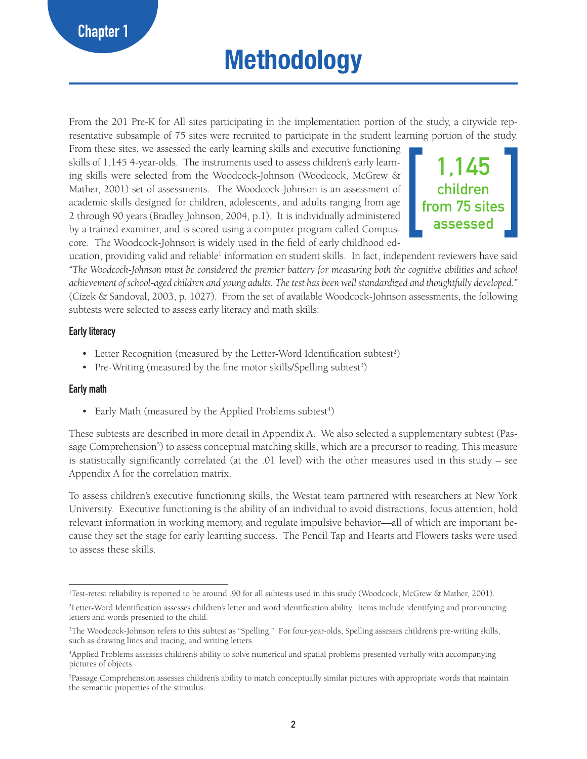# **Methodology**

From the 201 Pre-K for All sites participating in the implementation portion of the study, a citywide representative subsample of 75 sites were recruited to participate in the student learning portion of the study.

From these sites, we assessed the early learning skills and executive functioning skills of 1,145 4-year-olds. The instruments used to assess children's early learning skills were selected from the Woodcock-Johnson (Woodcock, McGrew & Mather, 2001) set of assessments. The Woodcock-Johnson is an assessment of academic skills designed for children, adolescents, and adults ranging from age 2 through 90 years (Bradley Johnson, 2004, p.1). It is individually administered by a trained examiner, and is scored using a computer program called Compuscore. The Woodcock-Johnson is widely used in the field of early childhood ed-



ucation, providing valid and reliable<sup>1</sup> information on student skills. In fact, independent reviewers have said *"The Woodcock-Johnson must be considered the premier battery for measuring both the cognitive abilities and school achievement of school-aged children and young adults. The test has been well standardized and thoughtfully developed."*  (Cizek & Sandoval, 2003, p. 1027). From the set of available Woodcock-Johnson assessments, the following subtests were selected to assess early literacy and math skills:

#### **Early literacy**

- Letter Recognition (measured by the Letter-Word Identification subtest<sup>2</sup>)
- Pre-Writing (measured by the fine motor skills/Spelling subtest<sup>3</sup>)

#### **Early math**

• Early Math (measured by the Applied Problems subtest<sup>4</sup>)

These subtests are described in more detail in Appendix A. We also selected a supplementary subtest (Passage Comprehension<sup>5</sup>) to assess conceptual matching skills, which are a precursor to reading. This measure is statistically significantly correlated (at the .01 level) with the other measures used in this study – see Appendix A for the correlation matrix.

To assess children's executive functioning skills, the Westat team partnered with researchers at New York University. Executive functioning is the ability of an individual to avoid distractions, focus attention, hold relevant information in working memory, and regulate impulsive behavior—all of which are important because they set the stage for early learning success. The Pencil Tap and Hearts and Flowers tasks were used to assess these skills.

<sup>1</sup> Test-retest reliability is reported to be around .90 for all subtests used in this study (Woodcock, McGrew & Mather, 2001).

<sup>2</sup> Letter-Word Identification assesses children's letter and word identification ability. Items include identifying and pronouncing letters and words presented to the child.

<sup>3</sup> The Woodcock-Johnson refers to this subtest as "Spelling." For four-year-olds, Spelling assesses children's pre-writing skills, such as drawing lines and tracing, and writing letters.

<sup>4</sup> Applied Problems assesses children's ability to solve numerical and spatial problems presented verbally with accompanying pictures of objects.

<sup>5</sup> Passage Comprehension assesses children's ability to match conceptually similar pictures with appropriate words that maintain the semantic properties of the stimulus.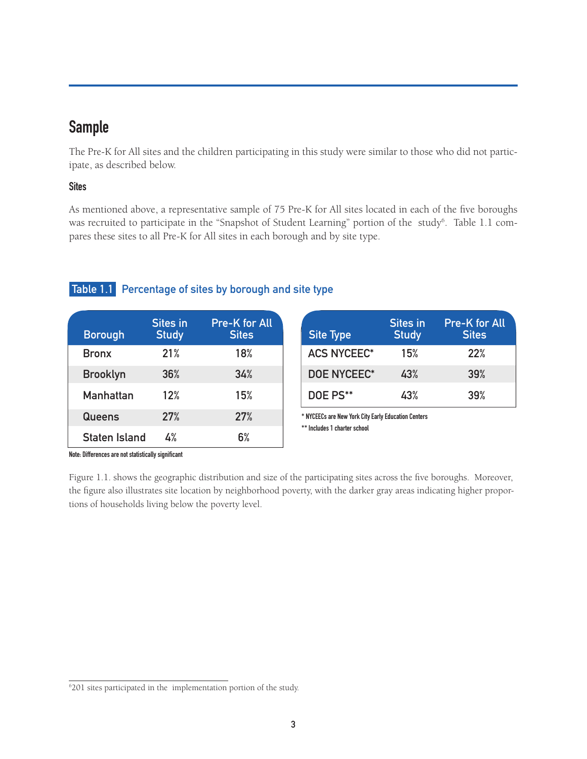# **Sample**

The Pre-K for All sites and the children participating in this study were similar to those who did not participate, as described below.

#### **Sites**

As mentioned above, a representative sample of 75 Pre-K for All sites located in each of the five boroughs was recruited to participate in the "Snapshot of Student Learning" portion of the study<sup>6</sup>. Table 1.1 compares these sites to all Pre-K for All sites in each borough and by site type.

#### **Table 1.1 Percentage of sites by borough and site type**

| <b>Borough</b>       | <b>Sites in</b><br><b>Study</b> | <b>Pre-K for All</b><br><b>Sites</b> |
|----------------------|---------------------------------|--------------------------------------|
| <b>Bronx</b>         | 21%                             | 18%                                  |
| <b>Brooklyn</b>      | 36%                             | 34%                                  |
| <b>Manhattan</b>     | 12%                             | 15%                                  |
| Queens               | 27%                             | 27%                                  |
| <b>Staten Island</b> | 4%                              | 6%                                   |

| <b>Site Type</b>   | Sites in<br><b>Study</b> | <b>Pre-K for All</b><br><b>Sites</b> |
|--------------------|--------------------------|--------------------------------------|
| <b>ACS NYCEEC*</b> | 15%                      | 22%                                  |
| <b>DOE NYCEEC*</b> | 43%                      | 39%                                  |
| DOE PS**           | 43%                      | 39%                                  |

**\* NYCEECs are New York City Early Education Centers \*\* Includes 1 charter school**

**Note: Differences are not statistically significant**

Figure 1.1. shows the geographic distribution and size of the participating sites across the five boroughs. Moreover, the figure also illustrates site location by neighborhood poverty, with the darker gray areas indicating higher proportions of households living below the poverty level.

<sup>6</sup> 201 sites participated in the implementation portion of the study.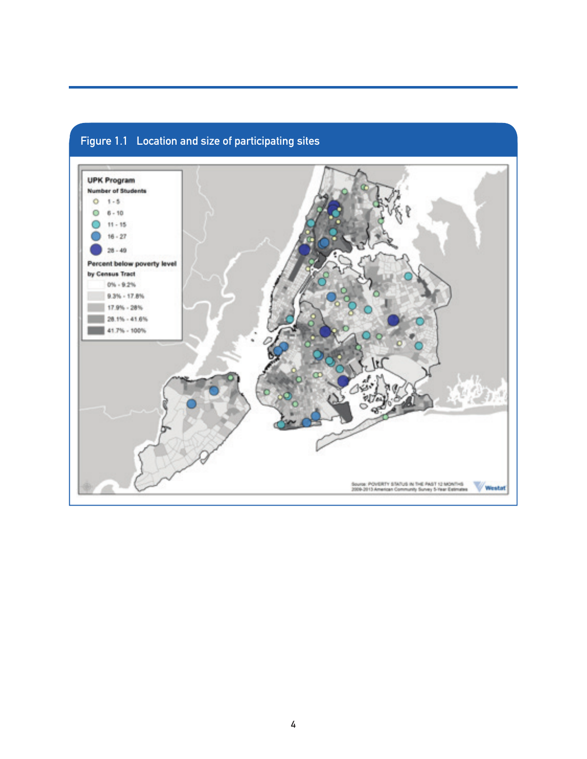

### **Figure 1.1 Location and size of participating sites**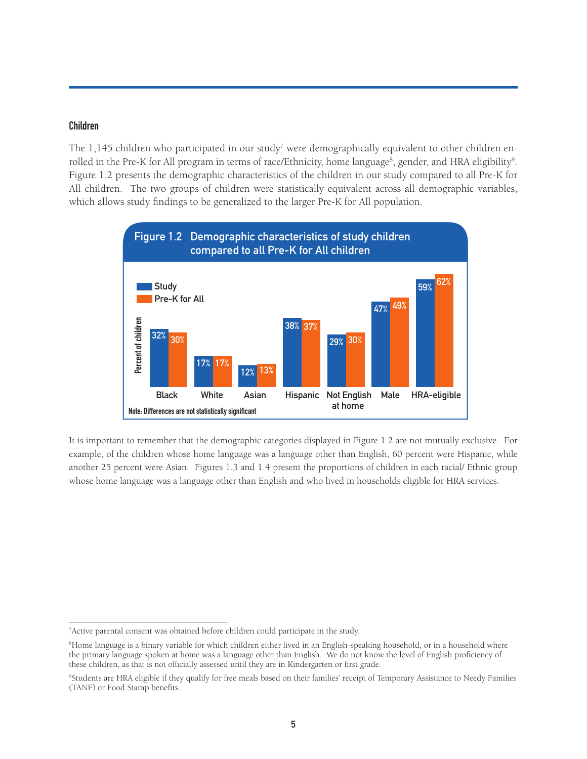#### **Children**

The  $1,145$  children who participated in our study<sup>7</sup> were demographically equivalent to other children enrolled in the Pre-K for All program in terms of race/Ethnicity, home language<sup>8</sup>, gender, and HRA eligibility<sup>9</sup>. Figure 1.2 presents the demographic characteristics of the children in our study compared to all Pre-K for All children. The two groups of children were statistically equivalent across all demographic variables, which allows study findings to be generalized to the larger Pre-K for All population.



It is important to remember that the demographic categories displayed in Figure 1.2 are not mutually exclusive. For example, of the children whose home language was a language other than English, 60 percent were Hispanic, while another 25 percent were Asian. Figures 1.3 and 1.4 present the proportions of children in each racial/ Ethnic group whose home language was a language other than English and who lived in households eligible for HRA services.

<sup>&</sup>lt;sup>7</sup> Active parental consent was obtained before children could participate in the study.

<sup>8</sup> Home language is a binary variable for which children either lived in an English-speaking household, or in a household where the primary language spoken at home was a language other than English. We do not know the level of English proficiency of these children, as that is not officially assessed until they are in Kindergarten or first grade.

<sup>9</sup> Students are HRA eligible if they qualify for free meals based on their families' receipt of Temporary Assistance to Needy Families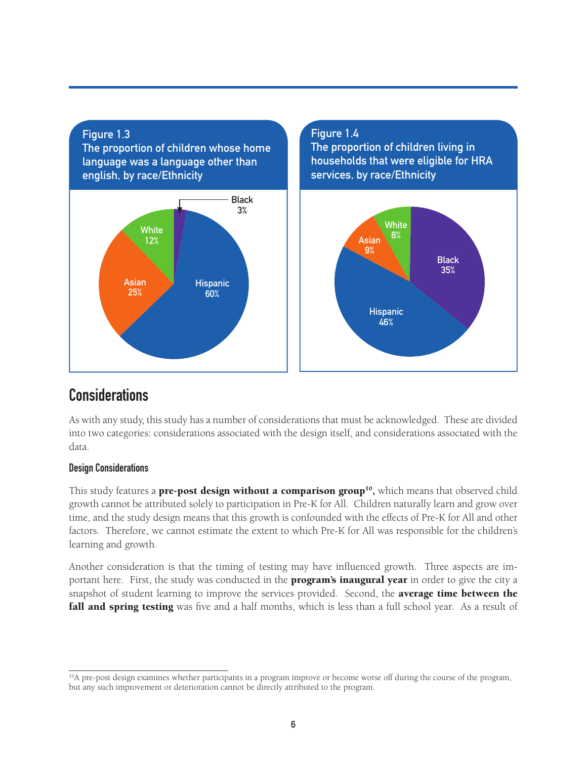

**The proportion of children living in households that were eligible for HRA services, by race/Ethnicity**



## **Considerations**

As with any study, this study has a number of considerations that must be acknowledged. These are divided into two categories: considerations associated with the design itself, and considerations associated with the data.

#### **Design Considerations**

This study features a **pre-post design without a comparison group**<sup>10</sup>, which means that observed child growth cannot be attributed solely to participation in Pre-K for All. Children naturally learn and grow over time, and the study design means that this growth is confounded with the effects of Pre-K for All and other factors. Therefore, we cannot estimate the extent to which Pre-K for All was responsible for the children's learning and growth.

Another consideration is that the timing of testing may have influenced growth. Three aspects are important here. First, the study was conducted in the **program's inaugural year** in order to give the city a snapshot of student learning to improve the services provided. Second, the average time between the **fall and spring testing** was five and a half months, which is less than a full school year. As a result of

<sup>&</sup>lt;sup>10</sup>A pre-post design examines whether participants in a program improve or become worse off during the course of the program, but any such improvement or deterioration cannot be directly attributed to the program.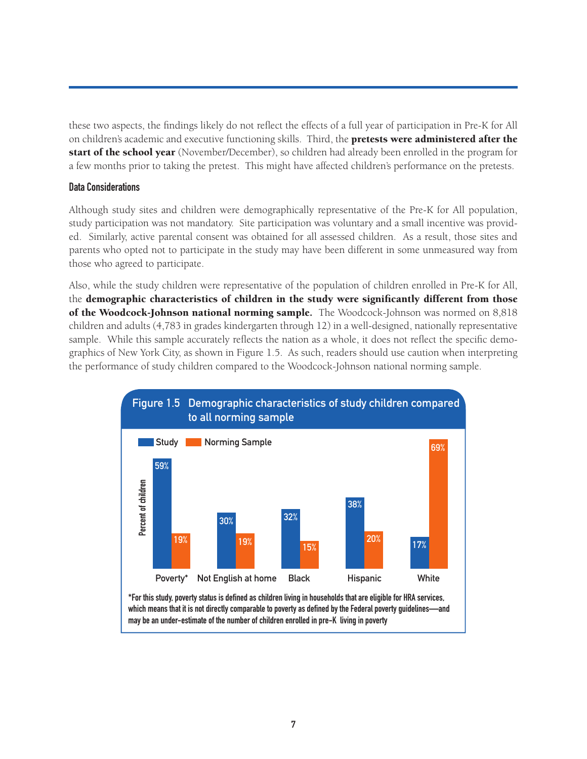these two aspects, the findings likely do not reflect the effects of a full year of participation in Pre-K for All on children's academic and executive functioning skills. Third, the **pretests were administered after the** start of the school year (November/December), so children had already been enrolled in the program for a few months prior to taking the pretest. This might have affected children's performance on the pretests.

#### **Data Considerations**

Although study sites and children were demographically representative of the Pre-K for All population, study participation was not mandatory. Site participation was voluntary and a small incentive was provided. Similarly, active parental consent was obtained for all assessed children. As a result, those sites and parents who opted not to participate in the study may have been different in some unmeasured way from those who agreed to participate.

Also, while the study children were representative of the population of children enrolled in Pre-K for All, the demographic characteristics of children in the study were significantly different from those of the Woodcock-Johnson national norming sample. The Woodcock-Johnson was normed on 8,818 children and adults (4,783 in grades kindergarten through 12) in a well-designed, nationally representative sample. While this sample accurately reflects the nation as a whole, it does not reflect the specific demographics of New York City, as shown in Figure 1.5. As such, readers should use caution when interpreting the performance of study children compared to the Woodcock-Johnson national norming sample.

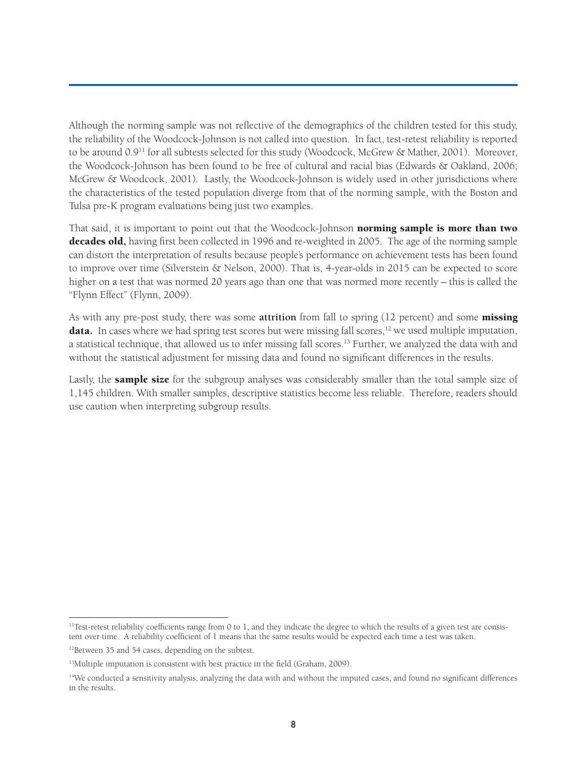Although the norming sample was not reflective of the demographics of the children tested for this study, the reliability of the Woodcock-Johnson is not called into question. In fact, test-retest reliability is reported to be around 0.9<sup>11</sup> for all subtests selected for this study (Woodcock, McGrew & Mather, 2001). Moreover, the Woodcock-Johnson has been found to be free of cultural and racial bias (Edwards & Oakland, 2006; McGrew & Woodcock, 2001). Lastly, the Woodcock-Johnson is widely used in other jurisdictions where the characteristics of the tested population diverge from that of the norming sample, with the Boston and Tulsa pre-K program evaluations being just two examples.

That said, it is important to point out that the Woodcock-Johnson norming sample is more than two decades old, having first been collected in 1996 and re-weighted in 2005. The age of the norming sample can distort the interpretation of results because people's performance on achievement tests has been found to improve over time (Silverstein & Nelson, 2000). That is, 4-year-olds in 2015 can be expected to score higher on a test that was normed 20 years ago than one that was normed more recently – this is called the "Flynn Effect" (Flynn, 2009).

As with any pre-post study, there was some **attrition** from fall to spring (12 percent) and some missing **data.** In cases where we had spring test scores but were missing fall scores,<sup>12</sup> we used multiple imputation, a statistical technique, that allowed us to infer missing fall scores.<sup>13</sup> Further, we analyzed the data with and without the statistical adjustment for missing data and found no significant differences in the results.

Lastly, the **sample size** for the subgroup analyses was considerably smaller than the total sample size of 1,145 children. With smaller samples, descriptive statistics become less reliable. Therefore, readers should use caution when interpreting subgroup results.

<sup>&</sup>lt;sup>11</sup>Test-retest reliability coefficients range from 0 to 1, and they indicate the degree to which the results of a given test are consistent over time. A reliability coefficient of 1 means that the same results would be expected each time a test was taken.

<sup>&</sup>lt;sup>12</sup>Between 35 and 54 cases, depending on the subtest.

<sup>&</sup>lt;sup>13</sup>Multiple imputation is consistent with best practice in the field (Graham, 2009).

<sup>14</sup>We conducted a sensitivity analysis, analyzing the data with and without the imputed cases, and found no significant differences in the results.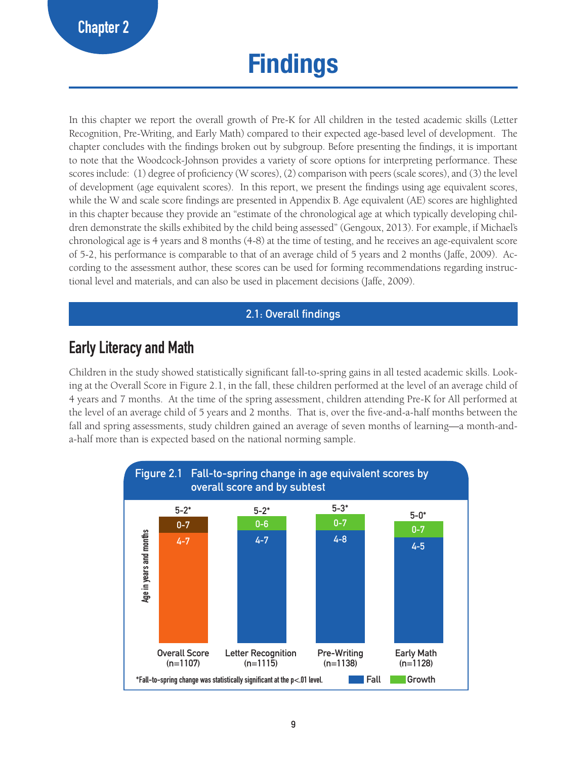# **Findings**

In this chapter we report the overall growth of Pre-K for All children in the tested academic skills (Letter Recognition, Pre-Writing, and Early Math) compared to their expected age-based level of development. The chapter concludes with the findings broken out by subgroup. Before presenting the findings, it is important to note that the Woodcock-Johnson provides a variety of score options for interpreting performance. These scores include: (1) degree of proficiency (W scores), (2) comparison with peers (scale scores), and (3) the level of development (age equivalent scores). In this report, we present the findings using age equivalent scores, while the W and scale score findings are presented in Appendix B. Age equivalent (AE) scores are highlighted in this chapter because they provide an "estimate of the chronological age at which typically developing children demonstrate the skills exhibited by the child being assessed" (Gengoux, 2013). For example, if Michael's chronological age is 4 years and 8 months (4-8) at the time of testing, and he receives an age-equivalent score of 5-2, his performance is comparable to that of an average child of 5 years and 2 months (Jaffe, 2009). According to the assessment author, these scores can be used for forming recommendations regarding instructional level and materials, and can also be used in placement decisions (Jaffe, 2009).

#### **2.1: Overall findings**

# **Early Literacy and Math**

Children in the study showed statistically significant fall-to-spring gains in all tested academic skills. Looking at the Overall Score in Figure 2.1, in the fall, these children performed at the level of an average child of 4 years and 7 months. At the time of the spring assessment, children attending Pre-K for All performed at the level of an average child of 5 years and 2 months. That is, over the five-and-a-half months between the fall and spring assessments, study children gained an average of seven months of learning—a month-anda-half more than is expected based on the national norming sample.

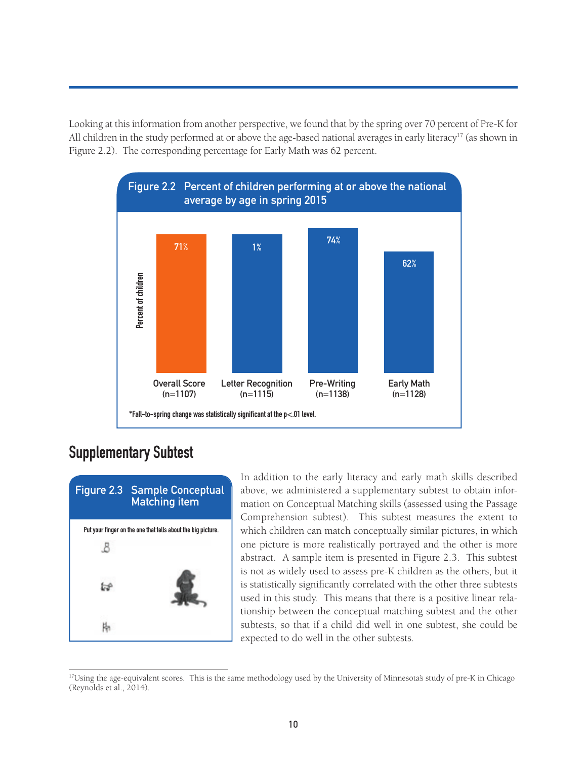Looking at this information from another perspective, we found that by the spring over 70 percent of Pre-K for All children in the study performed at or above the age-based national averages in early literacy<sup>17</sup> (as shown in Figure 2.2). The corresponding percentage for Early Math was 62 percent.



## **Supplementary Subtest**



In addition to the early literacy and early math skills described above, we administered a supplementary subtest to obtain information on Conceptual Matching skills (assessed using the Passage Comprehension subtest). This subtest measures the extent to which children can match conceptually similar pictures, in which one picture is more realistically portrayed and the other is more abstract. A sample item is presented in Figure 2.3. This subtest is not as widely used to assess pre-K children as the others, but it is statistically significantly correlated with the other three subtests used in this study. This means that there is a positive linear relationship between the conceptual matching subtest and the other subtests, so that if a child did well in one subtest, she could be expected to do well in the other subtests.

<sup>&</sup>lt;sup>17</sup>Using the age-equivalent scores. This is the same methodology used by the University of Minnesota's study of pre-K in Chicago (Revnolds et al., 2014).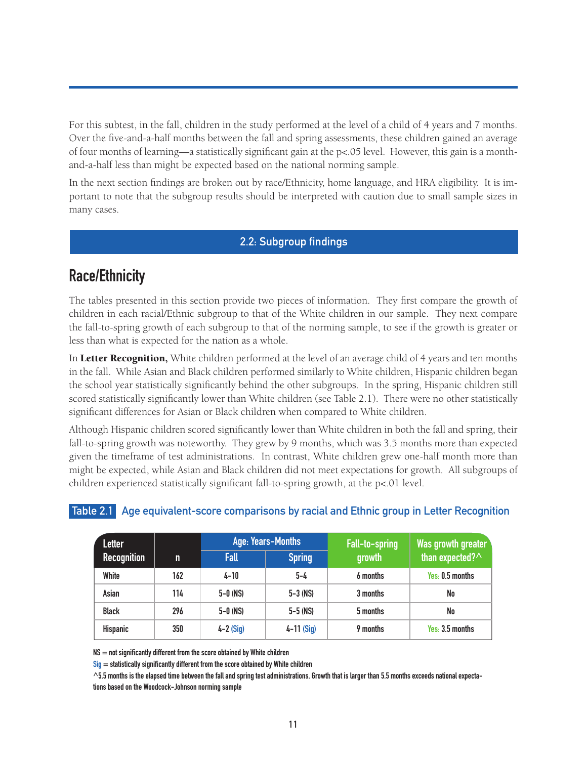For this subtest, in the fall, children in the study performed at the level of a child of 4 years and 7 months. Over the five-and-a-half months between the fall and spring assessments, these children gained an average of four months of learning—a statistically significant gain at the  $p<05$  level. However, this gain is a monthand-a-half less than might be expected based on the national norming sample.

In the next section findings are broken out by race/Ethnicity, home language, and HRA eligibility. It is important to note that the subgroup results should be interpreted with caution due to small sample sizes in many cases.

#### **2.2: Subgroup findings**

# **Race/Ethnicity**

The tables presented in this section provide two pieces of information. They first compare the growth of children in each racial/Ethnic subgroup to that of the White children in our sample. They next compare the fall-to-spring growth of each subgroup to that of the norming sample, to see if the growth is greater or less than what is expected for the nation as a whole.

In Letter Recognition, White children performed at the level of an average child of 4 years and ten months in the fall. While Asian and Black children performed similarly to White children, Hispanic children began the school year statistically significantly behind the other subgroups. In the spring, Hispanic children still scored statistically significantly lower than White children (see Table 2.1). There were no other statistically significant differences for Asian or Black children when compared to White children.

Although Hispanic children scored significantly lower than White children in both the fall and spring, their fall-to-spring growth was noteworthy. They grew by 9 months, which was 3.5 months more than expected given the timeframe of test administrations. In contrast, White children grew one-half month more than might be expected, while Asian and Black children did not meet expectations for growth. All subgroups of children experienced statistically significant fall-to-spring growth, at the p<.01 level.

| <b>Letter</b>      |     |              | Age: Years-Months |          | <b>Was growth greater</b> |  |
|--------------------|-----|--------------|-------------------|----------|---------------------------|--|
| <b>Recognition</b> | m.  | <b>Fall</b>  | <b>Spring</b>     | growth   | than expected? $\wedge$   |  |
| White              | 162 | $4 - 10$     | 5-4               | 6 months | Yes. 0.5 months           |  |
| Asian              | 114 | $5-0$ (NS)   | $5 - 3$ (NS)      | 3 months | No                        |  |
| <b>Black</b>       | 296 | $5 - 0$ (NS) | $5 - 5$ (NS)      | 5 months | No                        |  |
| <b>Hispanic</b>    | 350 | $4-2$ (Sig)  | $4 - 11$ (Sig)    | 9 months | Yes: 3.5 months           |  |

#### **Table 2.1 Age equivalent-score comparisons by racial and Ethnic group in Letter Recognition**

**NS = not significantly different from the score obtained by White children**

**Sig = statistically significantly different from the score obtained by White children**

**^5.5 months is the elapsed time between the fall and spring test administrations. Growth that is larger than 5.5 months exceeds national expectations based on the Woodcock-Johnson norming sample**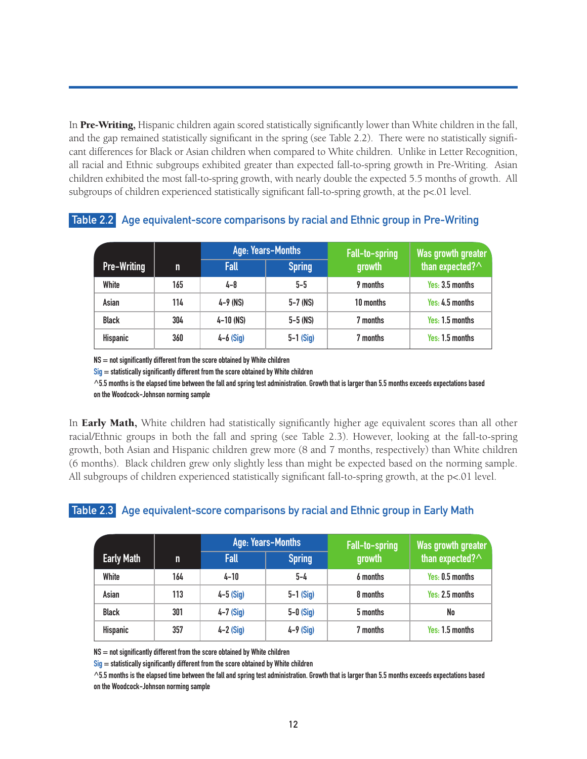In Pre-Writing, Hispanic children again scored statistically significantly lower than White children in the fall, and the gap remained statistically significant in the spring (see Table 2.2). There were no statistically significant differences for Black or Asian children when compared to White children. Unlike in Letter Recognition, all racial and Ethnic subgroups exhibited greater than expected fall-to-spring growth in Pre-Writing. Asian children exhibited the most fall-to-spring growth, with nearly double the expected 5.5 months of growth. All subgroups of children experienced statistically significant fall-to-spring growth, at the p<.01 level.

|                    |     |              | Age: Years-Months | Fall-to-spring | Was growth greater |
|--------------------|-----|--------------|-------------------|----------------|--------------------|
| <b>Pre-Writing</b> | n   | <b>Fall</b>  | <b>Spring</b>     | growth         | than expected? ^   |
| White              | 165 | 4-8          | $5 - 5$           | 9 months       | Yes: 3.5 months    |
| Asian              | 114 | $4 - 9$ (NS) | $5 - 7$ (NS)      | 10 months      | Yes: 4.5 months    |
| <b>Black</b>       | 304 | 4–10 (NS)    | $5 - 5$ (NS)      | 7 months       | Yes: 1.5 months    |
| <b>Hispanic</b>    | 360 | $4-6$ (Sig)  | $5-1$ (Sig)       | 7 months       | Yes. 1.5 months    |

#### **Table 2.2 Age equivalent-score comparisons by racial and Ethnic group in Pre-Writing**

**NS = not significantly different from the score obtained by White children**

**Sig = statistically significantly different from the score obtained by White children**

**^5.5 months is the elapsed time between the fall and spring test administration. Growth that is larger than 5.5 months exceeds expectations based on the Woodcock-Johnson norming sample**

In **Early Math,** White children had statistically significantly higher age equivalent scores than all other racial/Ethnic groups in both the fall and spring (see Table 2.3). However, looking at the fall-to-spring growth, both Asian and Hispanic children grew more (8 and 7 months, respectively) than White children (6 months). Black children grew only slightly less than might be expected based on the norming sample. All subgroups of children experienced statistically significant fall-to-spring growth, at the  $p<01$  level.

#### **Table 2.3 Age equivalent-score comparisons by racial and Ethnic group in Early Math**

|                   |     |             | Age: Years-Months |                          | <b>Was growth greater</b> |
|-------------------|-----|-------------|-------------------|--------------------------|---------------------------|
| <b>Early Math</b> | n   | <b>Fall</b> | <b>Spring</b>     | Fall-to-spring<br>growth | than expected? $\wedge$   |
| White             | 164 | $4 - 10$    | $5 - 4$           | 6 months                 | Yes. 0.5 months           |
| Asian             | 113 | $4-5$ (Sig) | $5-1$ (Sig)       | 8 months                 | Yes: 2.5 months           |
| <b>Black</b>      | 301 | $4-7$ (Sig) | $5-0$ (Sig)       | 5 months                 | No                        |
| Hispanic          | 357 | $4-2$ (Sig) | $4-9$ (Sig)       | 7 months                 | Yes: 1.5 months           |

**NS = not significantly different from the score obtained by White children**

**Sig = statistically significantly different from the score obtained by White children**

**^5.5 months is the elapsed time between the fall and spring test administration. Growth that is larger than 5.5 months exceeds expectations based on the Woodcock-Johnson norming sample**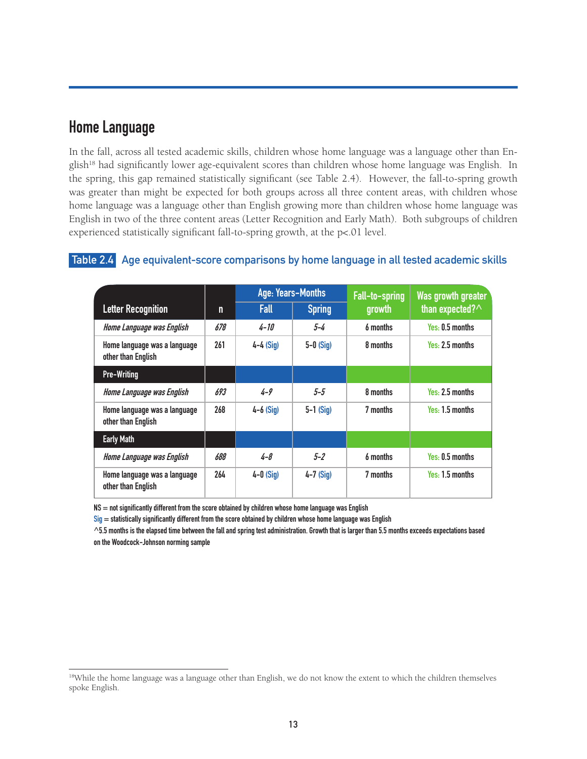### **Home Language**

In the fall, across all tested academic skills, children whose home language was a language other than English<sup>18</sup> had significantly lower age-equivalent scores than children whose home language was English. In the spring, this gap remained statistically significant (see Table 2.4). However, the fall-to-spring growth was greater than might be expected for both groups across all three content areas, with children whose home language was a language other than English growing more than children whose home language was English in two of the three content areas (Letter Recognition and Early Math). Both subgroups of children experienced statistically significant fall-to-spring growth, at the p<.01 level.

#### **Table 2.4 Age equivalent-score comparisons by home language in all tested academic skills**

|                                                    |     | Age: Years-Months |               | Fall-to-spring | Was growth greater      |
|----------------------------------------------------|-----|-------------------|---------------|----------------|-------------------------|
| <b>Letter Recognition</b>                          | n   | <b>Fall</b>       | <b>Spring</b> | growth         | than expected? $\wedge$ |
| Home Language was English                          | 678 | $4 - 10$          | $5 - 4$       | 6 months       | Yes: 0.5 months         |
| Home language was a language<br>other than English | 261 | $4-4$ (Sig)       | $5-0$ (Sig)   | 8 months       | Yes. 2.5 months         |
| <b>Pre-Writing</b>                                 |     |                   |               |                |                         |
| Home Language was English                          | 693 | $4 - 9$           | $5 - 5$       | 8 months       | Yes: 2.5 months         |
| Home language was a language<br>other than English | 268 | $4-6$ (Sig)       | $5-1$ (Sig)   | 7 months       | Yes: 1.5 months         |
| <b>Early Math</b>                                  |     |                   |               |                |                         |
| Home Language was English                          | 688 | $4 - 8$           | $5 - 2$       | 6 months       | Yes. 0.5 months         |
| Home language was a language<br>other than English | 264 | $4-0$ (Sig)       | $4-7$ (Sig)   | 7 months       | Yes: 1.5 months         |

**NS = not significantly different from the score obtained by children whose home language was English**

**Sig = statistically significantly different from the score obtained by children whose home language was English**

**^5.5 months is the elapsed time between the fall and spring test administration. Growth that is larger than 5.5 months exceeds expectations based on the Woodcock-Johnson norming sample**

<sup>&</sup>lt;sup>18</sup>While the home language was a language other than English, we do not know the extent to which the children themselves spoke English.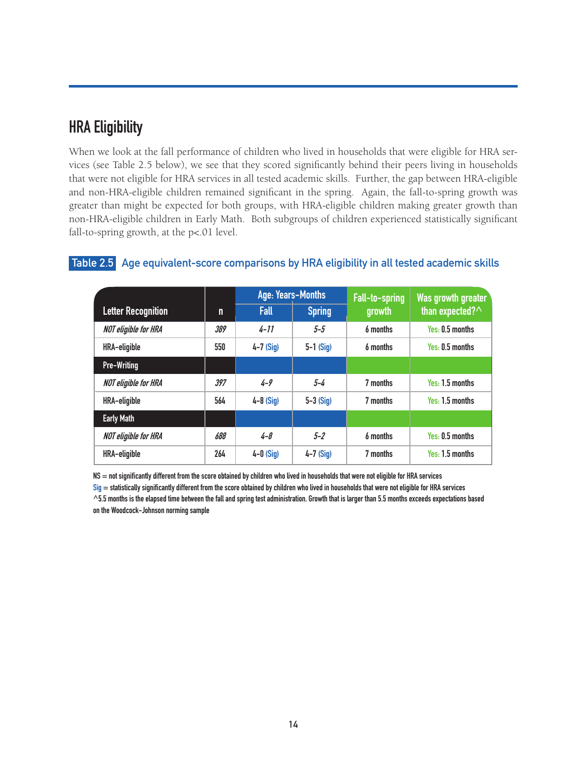# **HRA Eligibility**

When we look at the fall performance of children who lived in households that were eligible for HRA services (see Table 2.5 below), we see that they scored significantly behind their peers living in households that were not eligible for HRA services in all tested academic skills. Further, the gap between HRA-eligible and non-HRA-eligible children remained significant in the spring. Again, the fall-to-spring growth was greater than might be expected for both groups, with HRA-eligible children making greater growth than non-HRA-eligible children in Early Math. Both subgroups of children experienced statistically significant fall-to-spring growth, at the p<.01 level.

|                             |     | Age: Years-Months |               | Fall-to-spring | Was growth greater |
|-----------------------------|-----|-------------------|---------------|----------------|--------------------|
| <b>Letter Recognition</b>   | n   | Fall              | <b>Spring</b> | growth         | than expected? ^   |
| <b>NOT eligible for HRA</b> | 389 | $4 - 11$          | $5 - 5$       | 6 months       | Yes: 0.5 months    |
| HRA-eligible                | 550 | $4-7$ (Sig)       | $5-1$ (Sig)   | 6 months       | Yes: 0.5 months    |
| <b>Pre-Writing</b>          |     |                   |               |                |                    |
| <b>NOT eligible for HRA</b> | 397 | $4 - 9$           | $5 - 4$       | 7 months       | Yes: 1.5 months    |
| HRA-eligible                | 564 | $4-8$ (Sig)       | $5-3$ (Sig)   | 7 months       | Yes: 1.5 months    |
| <b>Early Math</b>           |     |                   |               |                |                    |
| <b>NOT eligible for HRA</b> | 688 | $4 - 8$           | $5 - 2$       | 6 months       | Yes: 0.5 months    |
| <b>HRA-eligible</b>         | 264 | $4-0$ (Sig)       | $4-7$ (Sig)   | 7 months       | Yes: 1.5 months    |

#### **Table 2.5 Age equivalent-score comparisons by HRA eligibility in all tested academic skills**

**NS = not significantly different from the score obtained by children who lived in households that were not eligible for HRA services**

**Sig = statistically significantly different from the score obtained by children who lived in households that were not eligible for HRA services ^5.5 months is the elapsed time between the fall and spring test administration. Growth that is larger than 5.5 months exceeds expectations based on the Woodcock-Johnson norming sample**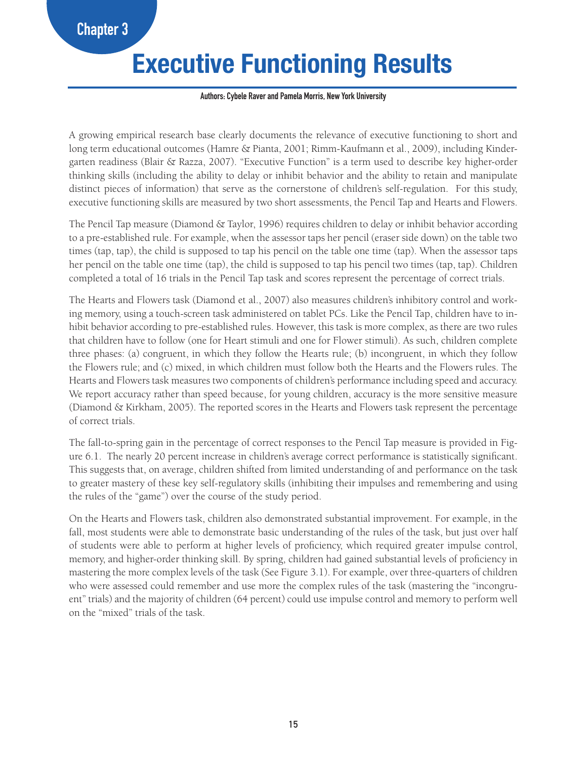# **Executive Functioning Results**

#### **Authors: Cybele Raver and Pamela Morris, New York University**

A growing empirical research base clearly documents the relevance of executive functioning to short and long term educational outcomes (Hamre & Pianta, 2001; Rimm-Kaufmann et al., 2009), including Kindergarten readiness (Blair & Razza, 2007). "Executive Function" is a term used to describe key higher-order thinking skills (including the ability to delay or inhibit behavior and the ability to retain and manipulate distinct pieces of information) that serve as the cornerstone of children's self-regulation. For this study, executive functioning skills are measured by two short assessments, the Pencil Tap and Hearts and Flowers.

The Pencil Tap measure (Diamond & Taylor, 1996) requires children to delay or inhibit behavior according to a pre-established rule. For example, when the assessor taps her pencil (eraser side down) on the table two times (tap, tap), the child is supposed to tap his pencil on the table one time (tap). When the assessor taps her pencil on the table one time (tap), the child is supposed to tap his pencil two times (tap, tap). Children completed a total of 16 trials in the Pencil Tap task and scores represent the percentage of correct trials.

The Hearts and Flowers task (Diamond et al., 2007) also measures children's inhibitory control and working memory, using a touch-screen task administered on tablet PCs. Like the Pencil Tap, children have to inhibit behavior according to pre-established rules. However, this task is more complex, as there are two rules that children have to follow (one for Heart stimuli and one for Flower stimuli). As such, children complete three phases: (a) congruent, in which they follow the Hearts rule; (b) incongruent, in which they follow the Flowers rule; and (c) mixed, in which children must follow both the Hearts and the Flowers rules. The Hearts and Flowers task measures two components of children's performance including speed and accuracy. We report accuracy rather than speed because, for young children, accuracy is the more sensitive measure (Diamond & Kirkham, 2005). The reported scores in the Hearts and Flowers task represent the percentage of correct trials.

The fall-to-spring gain in the percentage of correct responses to the Pencil Tap measure is provided in Figure 6.1. The nearly 20 percent increase in children's average correct performance is statistically significant. This suggests that, on average, children shifted from limited understanding of and performance on the task to greater mastery of these key self-regulatory skills (inhibiting their impulses and remembering and using the rules of the "game") over the course of the study period.

On the Hearts and Flowers task, children also demonstrated substantial improvement. For example, in the fall, most students were able to demonstrate basic understanding of the rules of the task, but just over half of students were able to perform at higher levels of proficiency, which required greater impulse control, memory, and higher-order thinking skill. By spring, children had gained substantial levels of proficiency in mastering the more complex levels of the task (See Figure 3.1). For example, over three-quarters of children who were assessed could remember and use more the complex rules of the task (mastering the "incongruent" trials) and the majority of children (64 percent) could use impulse control and memory to perform well on the "mixed" trials of the task.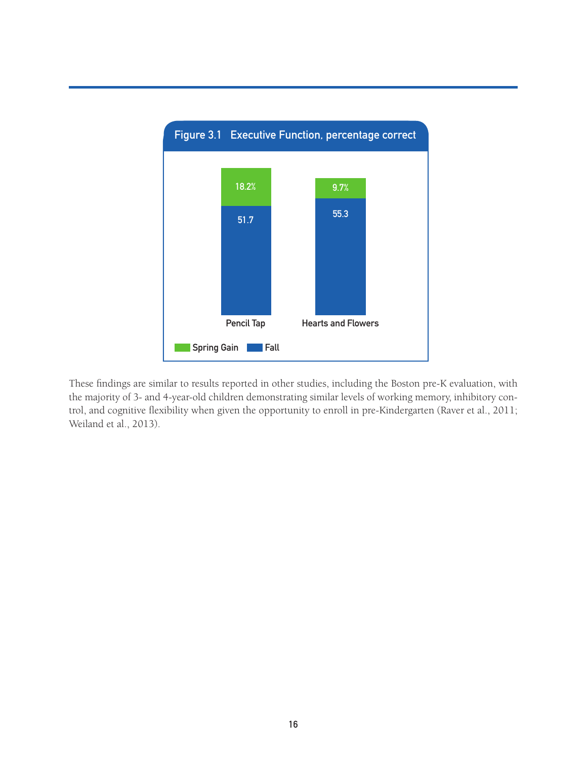

These findings are similar to results reported in other studies, including the Boston pre-K evaluation, with the majority of 3- and 4-year-old children demonstrating similar levels of working memory, inhibitory control, and cognitive flexibility when given the opportunity to enroll in pre-Kindergarten (Raver et al., 2011; Weiland et al., 2013).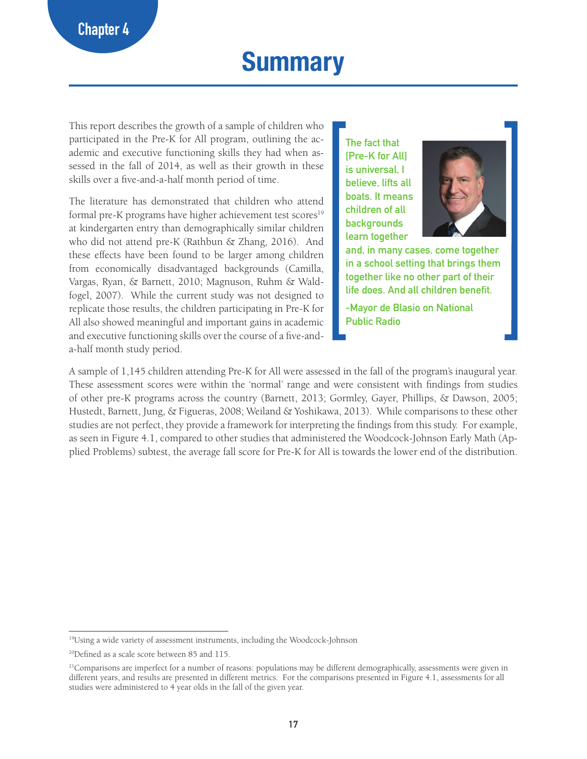# **Summary**

This report describes the growth of a sample of children who participated in the Pre-K for All program, outlining the academic and executive functioning skills they had when assessed in the fall of 2014, as well as their growth in these skills over a five-and-a-half month period of time.

The literature has demonstrated that children who attend formal pre-K programs have higher achievement test scores<sup>19</sup> at kindergarten entry than demographically similar children who did not attend pre-K (Rathbun & Zhang, 2016). And these effects have been found to be larger among children from economically disadvantaged backgrounds (Camilla, Vargas, Ryan, & Barnett, 2010; Magnuson, Ruhm & Waldfogel, 2007). While the current study was not designed to replicate those results, the children participating in Pre-K for All also showed meaningful and important gains in academic and executive functioning skills over the course of a five-anda-half month study period.

**The fact that [Pre-K for All] is universal, I believe, lifts all boats. It means children of all backgrounds learn together** 



**and, in many cases, come together in a school setting that brings them together like no other part of their life does. And all children benefit.** 

**-Mayor de Blasio on National Public Radio**

A sample of 1,145 children attending Pre-K for All were assessed in the fall of the program's inaugural year. These assessment scores were within the 'normal' range and were consistent with findings from studies of other pre-K programs across the country (Barnett, 2013; Gormley, Gayer, Phillips, & Dawson, 2005; Hustedt, Barnett, Jung, & Figueras, 2008; Weiland & Yoshikawa, 2013). While comparisons to these other studies are not perfect, they provide a framework for interpreting the findings from this study. For example, as seen in Figure 4.1, compared to other studies that administered the Woodcock-Johnson Early Math (Applied Problems) subtest, the average fall score for Pre-K for All is towards the lower end of the distribution.

<sup>19</sup>Using a wide variety of assessment instruments, including the Woodcock-Johnson

<sup>20</sup>Defined as a scale score between 85 and 115.

 $21$ Comparisons are imperfect for a number of reasons: populations may be different demographically, assessments were given in different years, and results are presented in different metrics. For the comparisons presented in Figure 4.1, assessments for all studies were administered to 4 year olds in the fall of the given year.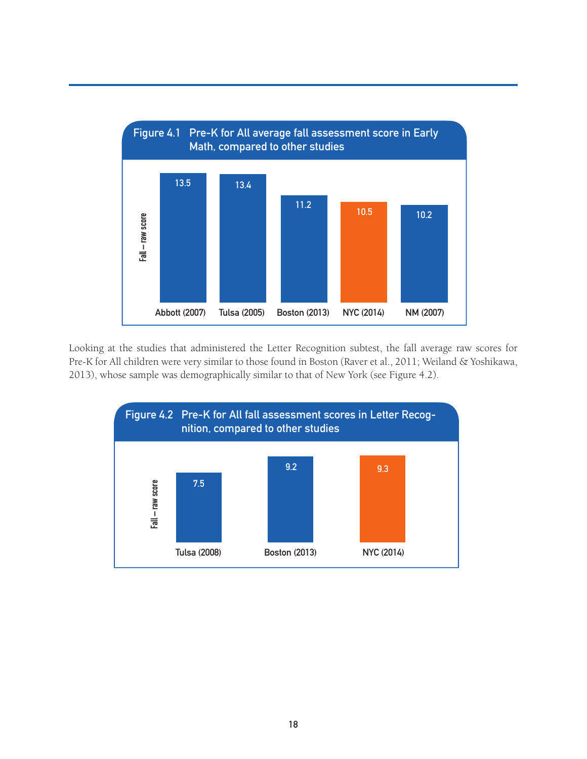

Looking at the studies that administered the Letter Recognition subtest, the fall average raw scores for Pre-K for All children were very similar to those found in Boston (Raver et al., 2011; Weiland & Yoshikawa, 2013), whose sample was demographically similar to that of New York (see Figure 4.2).

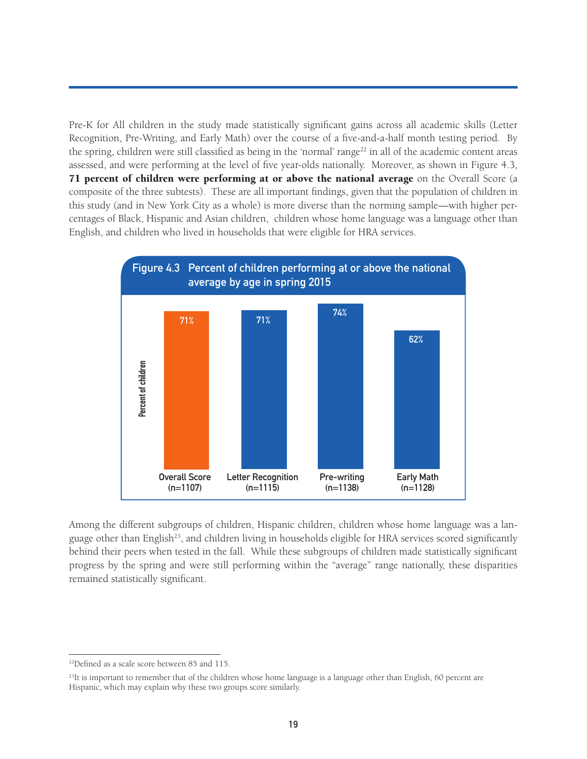Pre-K for All children in the study made statistically significant gains across all academic skills (Letter Recognition, Pre-Writing, and Early Math) over the course of a five-and-a-half month testing period. By the spring, children were still classified as being in the 'normal' range<sup>22</sup> in all of the academic content areas assessed, and were performing at the level of five year-olds nationally. Moreover, as shown in Figure 4.3, 71 percent of children were performing at or above the national average on the Overall Score (a composite of the three subtests). These are all important findings, given that the population of children in this study (and in New York City as a whole) is more diverse than the norming sample—with higher percentages of Black, Hispanic and Asian children, children whose home language was a language other than English, and children who lived in households that were eligible for HRA services.



Among the different subgroups of children, Hispanic children, children whose home language was a language other than English<sup>23</sup>, and children living in households eligible for HRA services scored significantly behind their peers when tested in the fall. While these subgroups of children made statistically significant progress by the spring and were still performing within the "average" range nationally, these disparities remained statistically significant.

<sup>22</sup>Defined as a scale score between 85 and 115.

 $^{23}$ It is important to remember that of the children whose home language is a language other than English, 60 percent are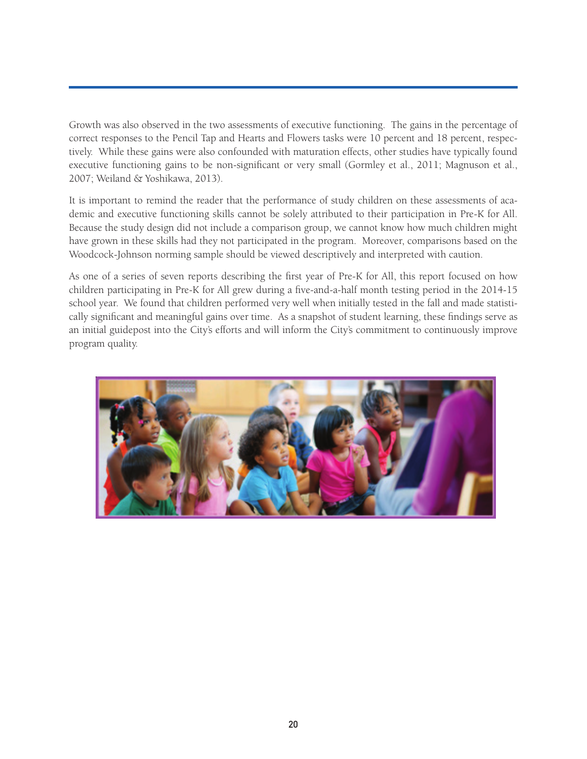Growth was also observed in the two assessments of executive functioning. The gains in the percentage of correct responses to the Pencil Tap and Hearts and Flowers tasks were 10 percent and 18 percent, respectively. While these gains were also confounded with maturation effects, other studies have typically found executive functioning gains to be non-significant or very small (Gormley et al., 2011; Magnuson et al., 2007; Weiland & Yoshikawa, 2013).

It is important to remind the reader that the performance of study children on these assessments of academic and executive functioning skills cannot be solely attributed to their participation in Pre-K for All. Because the study design did not include a comparison group, we cannot know how much children might have grown in these skills had they not participated in the program. Moreover, comparisons based on the Woodcock-Johnson norming sample should be viewed descriptively and interpreted with caution.

As one of a series of seven reports describing the first year of Pre-K for All, this report focused on how children participating in Pre-K for All grew during a five-and-a-half month testing period in the 2014-15 school year. We found that children performed very well when initially tested in the fall and made statistically significant and meaningful gains over time. As a snapshot of student learning, these findings serve as an initial guidepost into the City's efforts and will inform the City's commitment to continuously improve program quality.

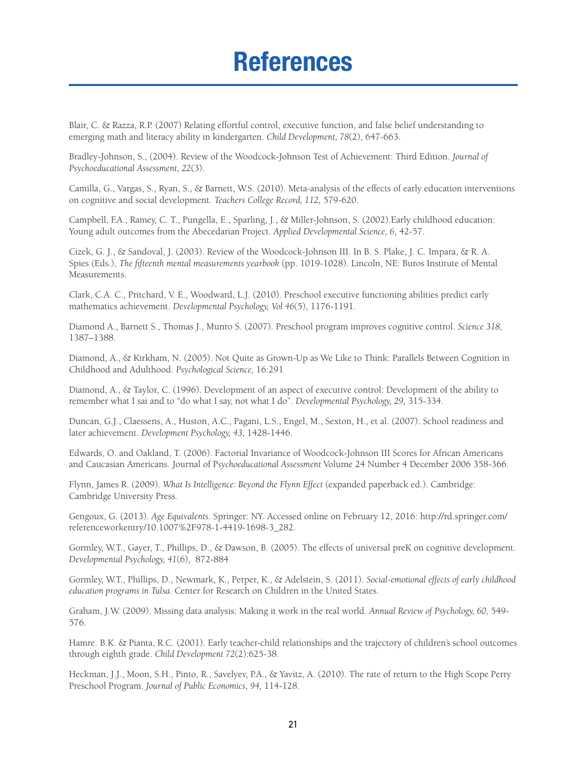# **References**

Blair, C. & Razza, R.P. (2007) Relating effortful control, executive function, and false belief understanding to emerging math and literacy ability in kindergarten. *Child Development, 78*(2), 647-663.

Bradley-Johnson, S., (2004). Review of the Woodcock-Johnson Test of Achievement: Third Edition. *Journal of Psychoeducational Assessment, 22*(3).

Camilla, G., Vargas, S., Ryan, S., & Barnett, W.S. (2010). Meta-analysis of the effects of early education interventions on cognitive and social development. *Teachers College Record, 112,* 579-620.

Campbell, F.A., Ramey, C. T., Pungella, E., Sparling, J., & Miller-Johnson, S. (2002).Early childhood education: Young adult outcomes from the Abecedarian Project. *Applied Developmental Science, 6*, 42-57.

Cizek, G. J., & Sandoval, J. (2003). Review of the Woodcock-Johnson III. In B. S. Plake, J. C. Impara, & R. A. Spies (Eds.), *The fifteenth mental measurements yearbook* (pp. 1019-1028). Lincoln, NE: Buros Institute of Mental Measurements.

Clark, C.A. C., Pritchard, V. E., Woodward, L.J. (2010). Preschool executive functioning abilities predict early mathematics achievement. *Developmental Psychology, Vol 46*(5), 1176-1191.

Diamond A., Barnett S., Thomas J., Munro S. (2007). Preschool program improves cognitive control. *Science 318,* 1387–1388.

Diamond, A., & Kirkham, N. (2005). Not Quite as Grown-Up as We Like to Think: Parallels Between Cognition in Childhood and Adulthood. *Psychological Science,* 16:291

Diamond, A., & Taylor, C. (1996). Development of an aspect of executive control: Development of the ability to remember what I sai and to "do what I say, not what I do". *Developmental Psychology, 29,* 315-334.

Duncan, G.J., Claessens, A., Huston, A.C., Pagani, L.S., Engel, M., Sexton, H., et al. (2007). School readiness and later achievement. *Development Psychology, 43,* 1428-1446.

Edwards, O. and Oakland, T. (2006). Factorial Invariance of Woodcock-Johnson III Scores for African Americans and Caucasian Americans. Journal of P*sychoeducational Assessment* Volume 24 Number 4 December 2006 358-366.

Flynn, James R. (2009). *What Is Intelligence: Beyond the Flynn Effect* (expanded paperback ed.). Cambridge: Cambridge University Press.

Gengoux, G. (2013). *Age Equivalents.* Springer: NY. Accessed online on February 12, 2016: http://rd.springer.com/ referenceworkentry/10.1007%2F978-1-4419-1698-3\_282.

Gormley, W.T., Gayer, T., Phillips, D., & Dawson, B. (2005). The effects of universal preK on cognitive development. *Developmental Psychology, 41*(6), 872-884

Gormley, W.T., Phillips, D., Newmark, K., Perper, K., & Adelstein, S. (2011). *Social-emotional effects of early childhood education programs in Tulsa.* Center for Research on Children in the United States.

Graham, J.W. (2009). Missing data analysis: Making it work in the real world. *Annual Review of Psychology, 60,* 549- 576.

Hamre. B.K. & Pianta, R.C. (2001). Early teacher-child relationships and the trajectory of children's school outcomes through eighth grade. *Child Development 72*(2):625-38.

Heckman, J.J., Moon, S.H., Pinto, R., Savelyev, P.A., & Yavitz, A. (2010). The rate of return to the High Scope Perry Preschool Program. *Journal of Public Economics, 94,* 114-128.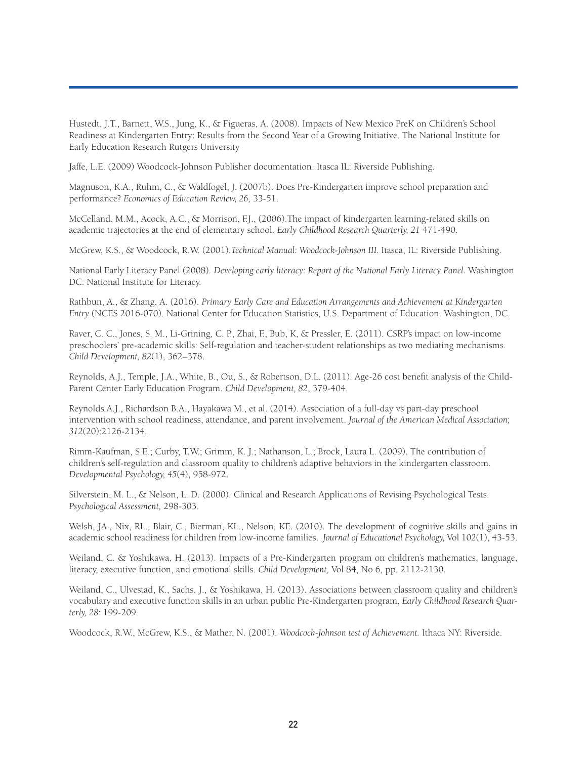Hustedt, J.T., Barnett, W.S., Jung, K., & Figueras, A. (2008). Impacts of New Mexico PreK on Children's School Readiness at Kindergarten Entry: Results from the Second Year of a Growing Initiative. The National Institute for Early Education Research Rutgers University

Jaffe, L.E. (2009) Woodcock-Johnson Publisher documentation. Itasca IL: Riverside Publishing.

Magnuson, K.A., Ruhm, C., & Waldfogel, J. (2007b). Does Pre-Kindergarten improve school preparation and performance? *Economics of Education Review, 26,* 33-51.

McCelland, M.M., Acock, A.C., & Morrison, F.J., (2006).The impact of kindergarten learning-related skills on academic trajectories at the end of elementary school. *Early Childhood Research Quarterly, 21* 471-490.

McGrew, K.S., & Woodcock, R.W. (2001).*Technical Manual: Woodcock-Johnson III.* Itasca, IL: Riverside Publishing.

National Early Literacy Panel (2008). *Developing early literacy: Report of the National Early Literacy Panel.* Washington DC: National Institute for Literacy.

Rathbun, A., & Zhang, A. (2016). *Primary Early Care and Education Arrangements and Achievement at Kindergarten Entry* (NCES 2016-070). National Center for Education Statistics, U.S. Department of Education. Washington, DC.

Raver, C. C., Jones, S. M., Li-Grining, C. P., Zhai, F., Bub, K, & Pressler, E. (2011). CSRP's impact on low-income preschoolers' pre-academic skills: Self-regulation and teacher-student relationships as two mediating mechanisms. *Child Development, 82*(1), 362–378.

Reynolds, A.J., Temple, J.A., White, B., Ou, S., & Robertson, D.L. (2011). Age-26 cost benefit analysis of the Child-Parent Center Early Education Program. *Child Development, 82*, 379-404.

Reynolds A.J., Richardson B.A., Hayakawa M., et al. (2014). Association of a full-day vs part-day preschool intervention with school readiness, attendance, and parent involvement. *Journal of the American Medical Association; 312*(20):2126-2134.

Rimm-Kaufman, S.E.; Curby, T.W.; Grimm, K. J.; Nathanson, L.; Brock, Laura L. (2009). The contribution of children's self-regulation and classroom quality to children's adaptive behaviors in the kindergarten classroom. *Developmental Psychology, 45*(4), 958-972.

Silverstein, M. L., & Nelson, L. D. (2000). Clinical and Research Applications of Revising Psychological Tests. *Psychological Assessment,* 298-303.

Welsh, JA., Nix, RL., Blair, C., Bierman, KL., Nelson, KE. (2010). The development of cognitive skills and gains in academic school readiness for children from low-income families. *Journal of Educational Psychology,* Vol 10*2*(1), 43-53.

Weiland, C. & Yoshikawa, H. (2013). Impacts of a Pre-Kindergarten program on children's mathematics, language, literacy, executive function, and emotional skills. *Child Development,* Vol 84, No 6, pp. 2112-2130.

Weiland, C., Ulvestad, K., Sachs, J., & Yoshikawa, H. (2013). Associations between classroom quality and children's vocabulary and executive function skills in an urban public Pre-Kindergarten program, *Early Childhood Research Quarterly, 28:* 199-209.

Woodcock, R.W., McGrew, K.S., & Mather, N. (2001). *Woodcock-Johnson test of Achievement.* Ithaca NY: Riverside.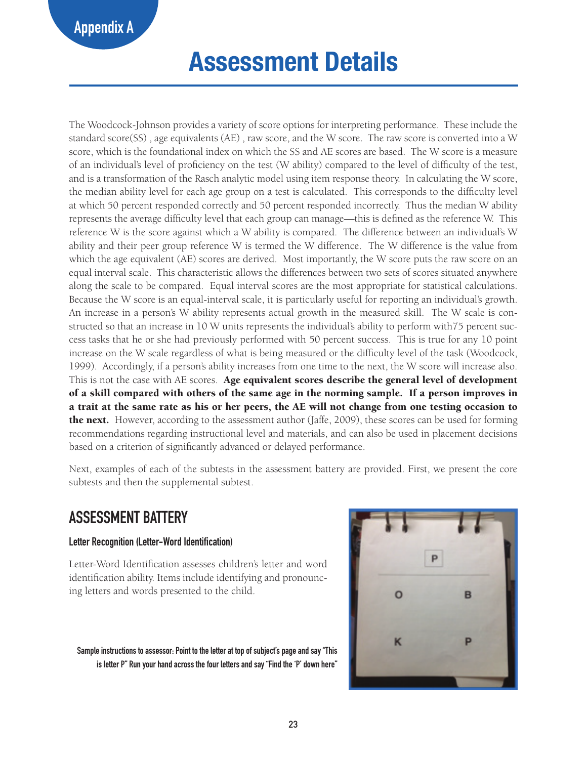# **Assessment Details**

The Woodcock-Johnson provides a variety of score options for interpreting performance. These include the standard score(SS) , age equivalents (AE) , raw score, and the W score. The raw score is converted into a W score, which is the foundational index on which the SS and AE scores are based. The W score is a measure of an individual's level of proficiency on the test (W ability) compared to the level of difficulty of the test, and is a transformation of the Rasch analytic model using item response theory. In calculating the W score, the median ability level for each age group on a test is calculated. This corresponds to the difficulty level at which 50 percent responded correctly and 50 percent responded incorrectly. Thus the median W ability represents the average difficulty level that each group can manage—this is defined as the reference W. This reference W is the score against which a W ability is compared. The difference between an individual's W ability and their peer group reference W is termed the W difference. The W difference is the value from which the age equivalent (AE) scores are derived. Most importantly, the W score puts the raw score on an equal interval scale. This characteristic allows the differences between two sets of scores situated anywhere along the scale to be compared. Equal interval scores are the most appropriate for statistical calculations. Because the W score is an equal-interval scale, it is particularly useful for reporting an individual's growth. An increase in a person's W ability represents actual growth in the measured skill. The W scale is constructed so that an increase in 10 W units represents the individual's ability to perform with75 percent success tasks that he or she had previously performed with 50 percent success. This is true for any 10 point increase on the W scale regardless of what is being measured or the difficulty level of the task (Woodcock, 1999). Accordingly, if a person's ability increases from one time to the next, the W score will increase also. This is not the case with AE scores. Age equivalent scores describe the general level of development of a skill compared with others of the same age in the norming sample. If a person improves in a trait at the same rate as his or her peers, the AE will not change from one testing occasion to **the next.** However, according to the assessment author (Jaffe, 2009), these scores can be used for forming recommendations regarding instructional level and materials, and can also be used in placement decisions based on a criterion of significantly advanced or delayed performance.

Next, examples of each of the subtests in the assessment battery are provided. First, we present the core subtests and then the supplemental subtest.

# **ASSESSMENT BATTERY**

#### **Letter Recognition (Letter-Word Identification)**

Letter-Word Identification assesses children's letter and word identification ability. Items include identifying and pronouncing letters and words presented to the child.

**Sample instructions to assessor: Point to the letter at top of subject's page and say "This is letter P" Run your hand across the four letters and say "Find the 'P' down here"**

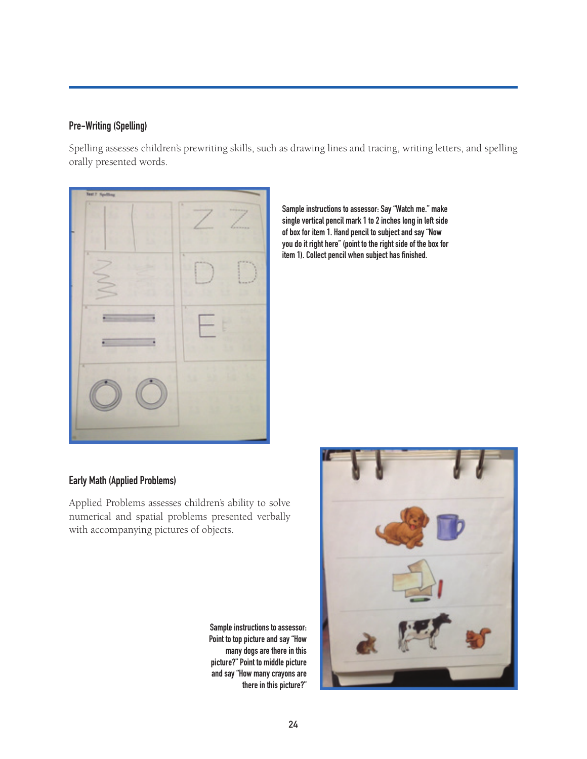#### **Pre-Writing (Spelling)**

Spelling assesses children's prewriting skills, such as drawing lines and tracing, writing letters, and spelling orally presented words.



**Sample instructions to assessor: Say "Watch me." make single vertical pencil mark 1 to 2 inches long in left side of box for item 1. Hand pencil to subject and say "Now you do it right here" (point to the right side of the box for item 1). Collect pencil when subject has finished.**

#### **Early Math (Applied Problems)**

Applied Problems assesses children's ability to solve numerical and spatial problems presented verbally with accompanying pictures of objects.

> **Sample instructions to assessor: Point to top picture and say "How many dogs are there in this picture?" Point to middle picture and say "How many crayons are there in this picture?"**

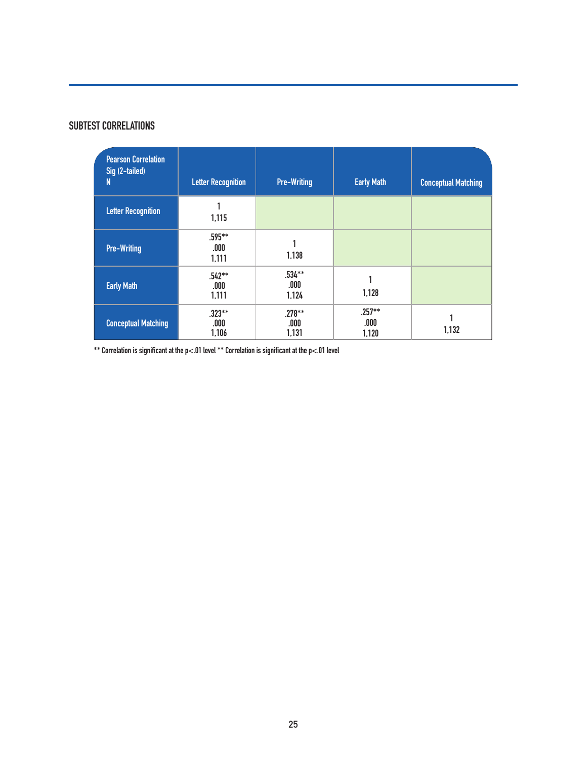#### **SUBTEST CORRELATIONS**

| <b>Pearson Correlation</b><br>Sig (2-tailed)<br>N | <b>Letter Recognition</b>  | <b>Pre-Writing</b>         | <b>Early Math</b>          | <b>Conceptual Matching</b> |
|---------------------------------------------------|----------------------------|----------------------------|----------------------------|----------------------------|
| <b>Letter Recognition</b>                         | 1,115                      |                            |                            |                            |
| <b>Pre-Writing</b>                                | $.595***$<br>.000<br>1,111 | 1,138                      |                            |                            |
| <b>Early Math</b>                                 | $.542**$<br>.000<br>1,111  | $.534***$<br>.000<br>1,124 | 1,128                      |                            |
| <b>Conceptual Matching</b>                        | $.323**$<br>.000<br>1,106  | $.278***$<br>.000<br>1,131 | $.257***$<br>.000<br>1,120 | 1,132                      |

**\*\* Correlation is significant at the p<.01 level \*\* Correlation is significant at the p<.01 level**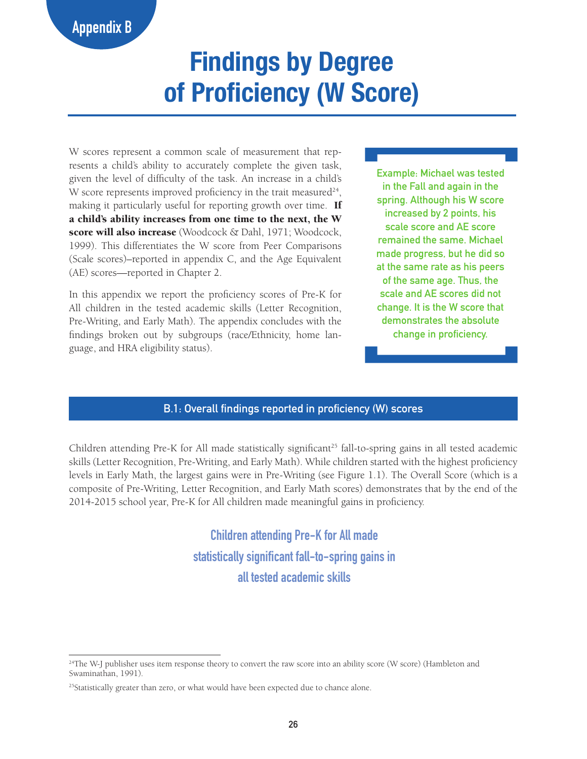# **Findings by Degree of Proficiency (W Score)**

W scores represent a common scale of measurement that represents a child's ability to accurately complete the given task, given the level of difficulty of the task. An increase in a child's W score represents improved proficiency in the trait measured<sup>24</sup>, making it particularly useful for reporting growth over time. If a child's ability increases from one time to the next, the W score will also increase (Woodcock & Dahl, 1971; Woodcock, 1999). This differentiates the W score from Peer Comparisons (Scale scores)–reported in appendix C, and the Age Equivalent (AE) scores—reported in Chapter 2.

In this appendix we report the proficiency scores of Pre-K for All children in the tested academic skills (Letter Recognition, Pre-Writing, and Early Math). The appendix concludes with the findings broken out by subgroups (race/Ethnicity, home language, and HRA eligibility status).

**Example: Michael was tested in the Fall and again in the spring. Although his W score increased by 2 points, his scale score and AE score remained the same. Michael made progress, but he did so at the same rate as his peers of the same age. Thus, the scale and AE scores did not change. It is the W score that demonstrates the absolute change in proficiency.**

#### **B.1: Overall findings reported in proficiency (W) scores**

Children attending Pre-K for All made statistically significant<sup>25</sup> fall-to-spring gains in all tested academic skills (Letter Recognition, Pre-Writing, and Early Math). While children started with the highest proficiency levels in Early Math, the largest gains were in Pre-Writing (see Figure 1.1). The Overall Score (which is a composite of Pre-Writing, Letter Recognition, and Early Math scores) demonstrates that by the end of the 2014-2015 school year, Pre-K for All children made meaningful gains in proficiency.

> **Children attending Pre-K for All made statistically significant fall-to-spring gains in all tested academic skills**

<sup>&</sup>lt;sup>24</sup>The W-J publisher uses item response theory to convert the raw score into an ability score (W score) (Hambleton and Swaminathan, 1991).

<sup>&</sup>lt;sup>25</sup>Statistically greater than zero, or what would have been expected due to chance alone.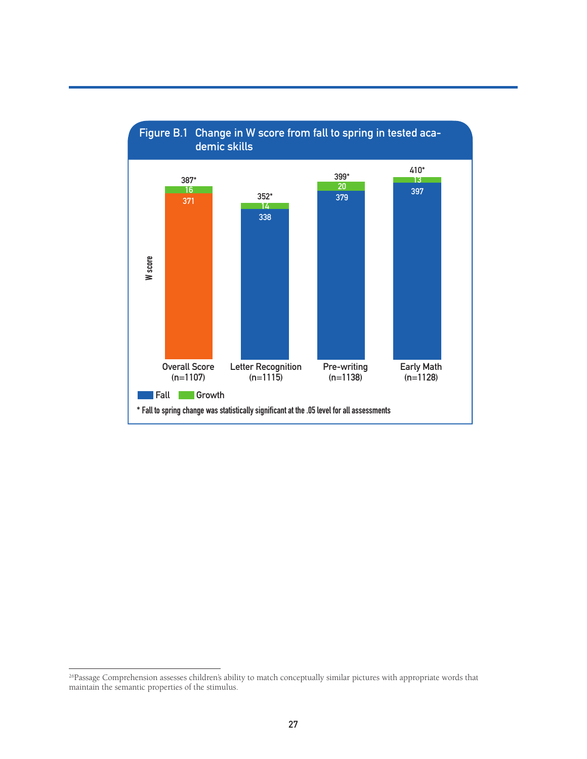

<sup>&</sup>lt;sup>26</sup>Passage Comprehension assesses children's ability to match conceptually similar pictures with appropriate words that maintain the semantic properties of the stimulus.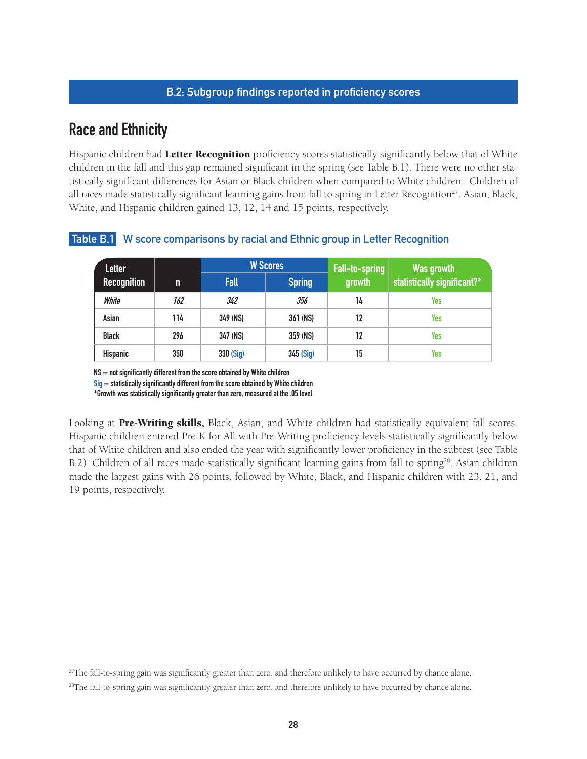#### **B.2: Subgroup findings reported in proficiency scores**

### **Race and Ethnicity**

Hispanic children had Letter Recognition proficiency scores statistically significantly below that of White children in the fall and this gap remained significant in the spring (see Table B.1). There were no other statistically significant differences for Asian or Black children when compared to White children. Children of all races made statistically significant learning gains from fall to spring in Letter Recognition<sup>27</sup>. Asian, Black, White, and Hispanic children gained 13, 12, 14 and 15 points, respectively.

| <b>Letter</b>   |     | <b>W</b> Scores | Fall-to-spring | Was growth |                             |
|-----------------|-----|-----------------|----------------|------------|-----------------------------|
| Recognition     | n   | <b>Fall</b>     | <b>Spring</b>  | growth     | statistically significant?* |
| White           | 162 | 342             | 356            | 14         | Yes                         |
| Asian           | 114 | 349 (NS)        | 361 (NS)       | 12         | Yes                         |
| <b>Black</b>    | 296 | 347 (NS)        | 359 (NS)       | 12         | Yes                         |
| <b>Hispanic</b> | 350 | 330 (Sig)       | 345 (Sig)      | 15         | Yes                         |

#### **Table B.1 W score comparisons by racial and Ethnic group in Letter Recognition**

**NS = not significantly different from the score obtained by White children**

**Sig = statistically significantly different from the score obtained by White children**

**\*Growth was statistically significantly greater than zero, measured at the .05 level**

Looking at Pre-Writing skills, Black, Asian, and White children had statistically equivalent fall scores. Hispanic children entered Pre-K for All with Pre-Writing proficiency levels statistically significantly below that of White children and also ended the year with significantly lower proficiency in the subtest (see Table B.2). Children of all races made statistically significant learning gains from fall to spring28. Asian children made the largest gains with 26 points, followed by White, Black, and Hispanic children with 23, 21, and 19 points, respectively.

<sup>&</sup>lt;sup>27</sup>The fall-to-spring gain was significantly greater than zero, and therefore unlikely to have occurred by chance alone. <sup>28</sup>The fall-to-spring gain was significantly greater than zero, and therefore unlikely to have occurred by chance alone.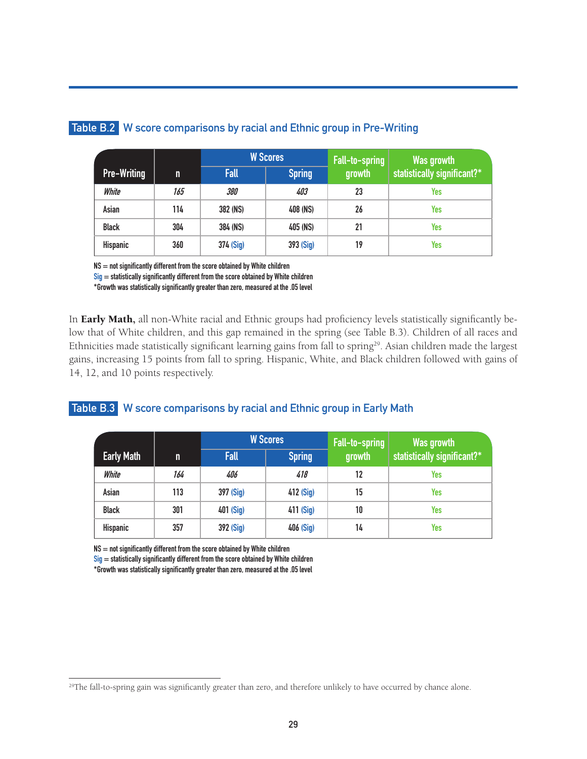|                    |     | <b>W</b> Scores   |               | Fall-to-spring | Was growth                  |
|--------------------|-----|-------------------|---------------|----------------|-----------------------------|
| <b>Pre-Writing</b> | n   | <b>Fall</b>       | <b>Spring</b> | growth         | statistically significant?* |
| White              | 165 | <i><b>380</b></i> | 403           | 23             | Yes                         |
| Asian              | 114 | 382 (NS)          | 408 (NS)      | 26             | Yes                         |
| <b>Black</b>       | 304 | 384 (NS)          | 405 (NS)      | 21             | Yes                         |
| Hispanic           | 360 | 374 (Sig)         | 393 (Sig)     | 19             | Yes                         |

#### **Table B.2 W score comparisons by racial and Ethnic group in Pre-Writing**

**NS = not significantly different from the score obtained by White children**

**Sig = statistically significantly different from the score obtained by White children**

**\*Growth was statistically significantly greater than zero, measured at the .05 level**

In **Early Math**, all non-White racial and Ethnic groups had proficiency levels statistically significantly below that of White children, and this gap remained in the spring (see Table B.3). Children of all races and Ethnicities made statistically significant learning gains from fall to spring<sup>29</sup>. Asian children made the largest gains, increasing 15 points from fall to spring. Hispanic, White, and Black children followed with gains of 14, 12, and 10 points respectively.

#### **Table B.3 W score comparisons by racial and Ethnic group in Early Math**

|                   |     | <b>W</b> Scores |               | Fall-to-spring | Was growth                  |
|-------------------|-----|-----------------|---------------|----------------|-----------------------------|
| <b>Early Math</b> | n   | <b>Fall</b>     | <b>Spring</b> | growth         | statistically significant?* |
| White             | 164 | 406             | 418           | 12             | Yes                         |
| Asian             | 113 | 397 (Sig)       | 412 (Sig)     | 15             | Yes                         |
| <b>Black</b>      | 301 | 401 (Sig)       | 411 (Sig)     | 10             | Yes                         |
| Hispanic          | 357 | 392 (Sig)       | 406 (Sig)     | 14             | Yes                         |

**NS = not significantly different from the score obtained by White children**

**Sig = statistically significantly different from the score obtained by White children**

<sup>&</sup>lt;sup>29</sup>The fall-to-spring gain was significantly greater than zero, and therefore unlikely to have occurred by chance alone.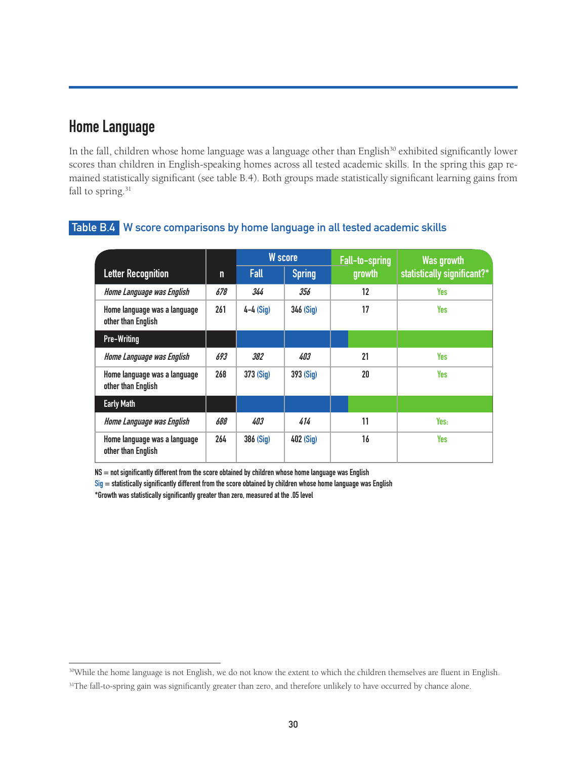# **Home Language**

In the fall, children whose home language was a language other than English<sup>30</sup> exhibited significantly lower scores than children in English-speaking homes across all tested academic skills. In the spring this gap remained statistically significant (see table B.4). Both groups made statistically significant learning gains from fall to spring.<sup>31</sup>

|                                                    |     | W score     |               | Fall-to-spring | Was growth                  |
|----------------------------------------------------|-----|-------------|---------------|----------------|-----------------------------|
| <b>Letter Recognition</b>                          | n   | <b>Fall</b> | <b>Spring</b> | growth         | statistically significant?* |
| Home Language was English                          | 678 | 344         | 356           | 12             | Yes                         |
| Home language was a language<br>other than English | 261 | $4-4$ (Sig) | 346 (Sig)     | 17             | Yes                         |
| <b>Pre-Writing</b>                                 |     |             |               |                |                             |
| Home Language was English                          | 693 | 382         | 403           | 21             | Yes                         |
| Home language was a language<br>other than English | 268 | 373 (Sig)   | 393 (Sig)     | 20             | Yes                         |
| <b>Early Math</b>                                  |     |             |               |                |                             |
| Home Language was English                          | 688 | 403         | 414           | 11             | Yes:                        |
| Home language was a language<br>other than English | 264 | 386 (Sig)   | 402 (Sig)     | 16             | <b>Yes</b>                  |

#### **Table B.4 W score comparisons by home language in all tested academic skills**

**NS = not significantly different from the score obtained by children whose home language was English**

**Sig = statistically significantly different from the score obtained by children whose home language was English**

<sup>30</sup>While the home language is not English, we do not know the extent to which the children themselves are fluent in English.

<sup>&</sup>lt;sup>31</sup>The fall-to-spring gain was significantly greater than zero, and therefore unlikely to have occurred by chance alone.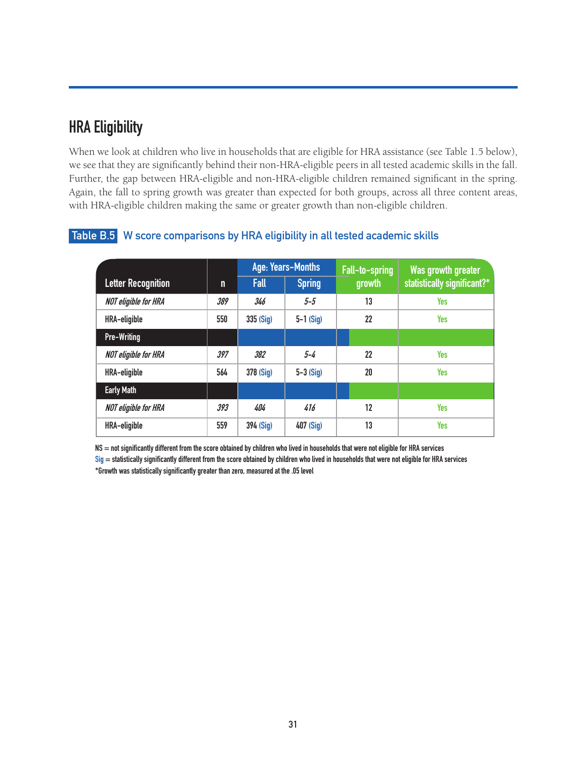# **HRA Eligibility**

When we look at children who live in households that are eligible for HRA assistance (see Table 1.5 below), we see that they are significantly behind their non-HRA-eligible peers in all tested academic skills in the fall. Further, the gap between HRA-eligible and non-HRA-eligible children remained significant in the spring. Again, the fall to spring growth was greater than expected for both groups, across all three content areas, with HRA-eligible children making the same or greater growth than non-eligible children.

|                             |     | Age: Years-Months |               | Fall-to-spring | Was growth greater          |
|-----------------------------|-----|-------------------|---------------|----------------|-----------------------------|
| <b>Letter Recognition</b>   | n   | Fall              | <b>Spring</b> | growth         | statistically significant?* |
| <b>NOT eligible for HRA</b> | 389 | 346               | $5 - 5$       | 13             | <b>Yes</b>                  |
| HRA-eligible                | 550 | 335 (Sig)         | $5-1$ (Sig)   | 22             | Yes                         |
| <b>Pre-Writing</b>          |     |                   |               |                |                             |
| <b>NOT eligible for HRA</b> | 397 | 382               | $5 - 4$       | 22             | Yes                         |
| HRA-eligible                | 564 | 378 (Sig)         | $5-3$ (Sig)   | 20             | Yes                         |
| <b>Early Math</b>           |     |                   |               |                |                             |
| <b>NOT eligible for HRA</b> | 393 | 404               | 416           | 12             | Yes                         |
| HRA-eligible                | 559 | 394 (Sig)         | 407 (Sig)     | 13             | <b>Yes</b>                  |

#### **Table B.5 W score comparisons by HRA eligibility in all tested academic skills**

**NS = not significantly different from the score obtained by children who lived in households that were not eligible for HRA services**

**Sig = statistically significantly different from the score obtained by children who lived in households that were not eligible for HRA services \*Growth was statistically significantly greater than zero, measured at the .05 level**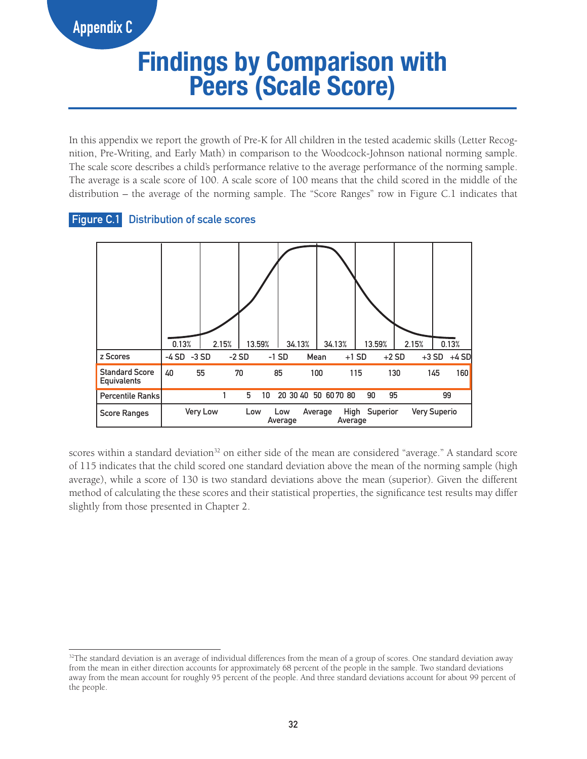# **Appendix C**

# **Findings by Comparison with Peers (Scale Score)**

In this appendix we report the growth of Pre-K for All children in the tested academic skills (Letter Recognition, Pre-Writing, and Early Math) in comparison to the Woodcock-Johnson national norming sample. The scale score describes a child's performance relative to the average performance of the norming sample. The average is a scale score of 100. A scale score of 100 means that the child scored in the middle of the distribution – the average of the norming sample. The "Score Ranges" row in Figure C.1 indicates that

#### **Figure C.1 Distribution of scale scores**



scores within a standard deviation<sup>32</sup> on either side of the mean are considered "average." A standard score of 115 indicates that the child scored one standard deviation above the mean of the norming sample (high average), while a score of 130 is two standard deviations above the mean (superior). Given the different method of calculating the these scores and their statistical properties, the significance test results may differ slightly from those presented in Chapter 2.

 $32$ The standard deviation is an average of individual differences from the mean of a group of scores. One standard deviation away from the mean in either direction accounts for approximately 68 percent of the people in the sample. Two standard deviations away from the mean account for roughly 95 percent of the people. And three standard deviations account for about 99 percent of the people.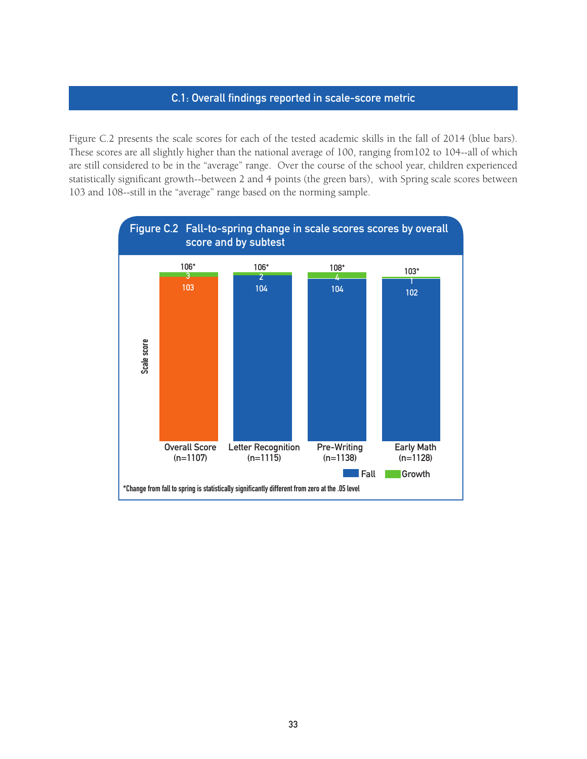#### **C.1: Overall findings reported in scale-score metric**

Figure C.2 presents the scale scores for each of the tested academic skills in the fall of 2014 (blue bars). These scores are all slightly higher than the national average of 100, ranging from102 to 104--all of which are still considered to be in the "average" range. Over the course of the school year, children experienced statistically significant growth--between 2 and 4 points (the green bars), with Spring scale scores between 103 and 108--still in the "average" range based on the norming sample.

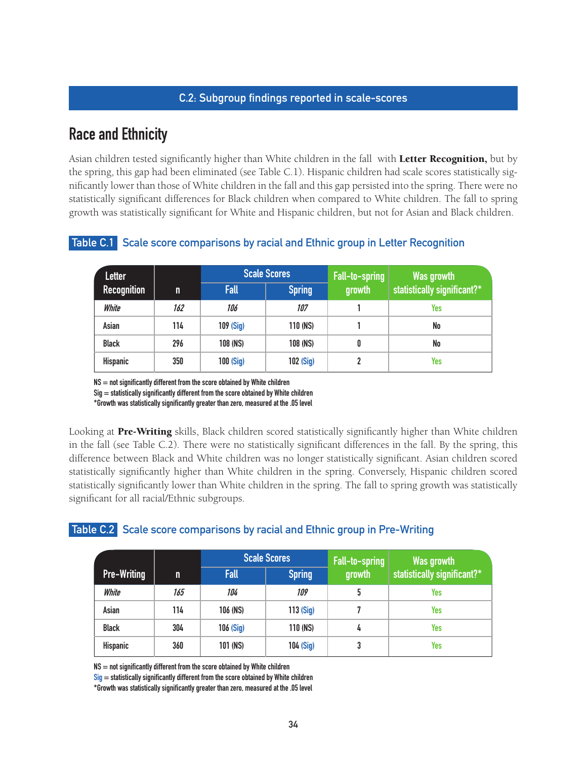#### **C.2: Subgroup findings reported in scale-scores**

### **Race and Ethnicity**

Asian children tested significantly higher than White children in the fall with Letter Recognition, but by the spring, this gap had been eliminated (see Table C.1). Hispanic children had scale scores statistically significantly lower than those of White children in the fall and this gap persisted into the spring. There were no statistically significant differences for Black children when compared to White children. The fall to spring growth was statistically significant for White and Hispanic children, but not for Asian and Black children.

| Letter             |     |           | <b>Scale Scores</b> | Fall-to-spring | Was growth<br>statistically significant?* |
|--------------------|-----|-----------|---------------------|----------------|-------------------------------------------|
| <b>Recognition</b> | m   | Fall      | <b>Spring</b>       | growth         |                                           |
| White              | 162 | 106       | 107                 |                | Yes                                       |
| Asian              | 114 | 109 (Sig) | 110 (NS)            |                | No                                        |
| <b>Black</b>       | 296 | 108 (NS)  | 108 (NS)            | 0              | No                                        |
| Hispanic           | 350 | 100 (Sig) | 102 (Sig)           | 2              | Yes                                       |

#### **Table C.1 Scale score comparisons by racial and Ethnic group in Letter Recognition**

**NS = not significantly different from the score obtained by White children**

**Sig = statistically significantly different from the score obtained by White children**

**\*Growth was statistically significantly greater than zero, measured at the .05 level**

Looking at Pre-Writing skills, Black children scored statistically significantly higher than White children in the fall (see Table C.2). There were no statistically significant differences in the fall. By the spring, this difference between Black and White children was no longer statistically significant. Asian children scored statistically significantly higher than White children in the spring. Conversely, Hispanic children scored statistically significantly lower than White children in the spring. The fall to spring growth was statistically significant for all racial/Ethnic subgroups.

#### **Table C.2 Scale score comparisons by racial and Ethnic group in Pre-Writing**

|                    |     |             | <b>Scale Scores</b> | Fall-to-spring | Was growth                  |
|--------------------|-----|-------------|---------------------|----------------|-----------------------------|
| <b>Pre-Writing</b> | n   | <b>Fall</b> | <b>Spring</b>       | growth         | statistically significant?* |
| White              | 165 | 104         | 109                 | 5              | Yes                         |
| Asian              | 114 | 106 (NS)    | 113 (Sig)           |                | Yes                         |
| <b>Black</b>       | 304 | 106 (Sig)   | 110 (NS)            | 4              | Yes                         |
| Hispanic           | 360 | 101 (NS)    | 104 (Sig)           | 3              | Yes                         |

**NS = not significantly different from the score obtained by White children**

**Sig = statistically significantly different from the score obtained by White children**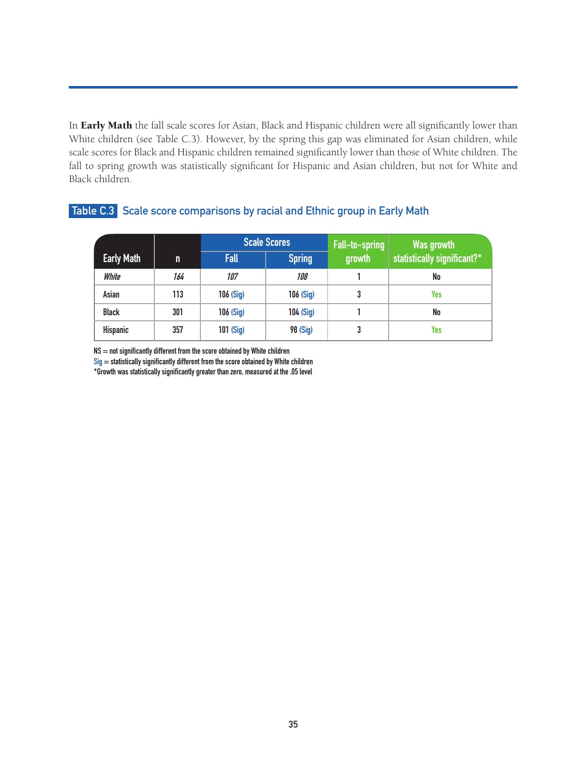In Early Math the fall scale scores for Asian, Black and Hispanic children were all significantly lower than White children (see Table C.3). However, by the spring this gap was eliminated for Asian children, while scale scores for Black and Hispanic children remained significantly lower than those of White children. The fall to spring growth was statistically significant for Hispanic and Asian children, but not for White and Black children.

|                   |     |             | <b>Scale Scores</b> | Fall-to-spring | Was growth                  |
|-------------------|-----|-------------|---------------------|----------------|-----------------------------|
| <b>Early Math</b> | n   | <b>Fall</b> | <b>Spring</b>       | growth         | statistically significant?* |
| White             | 164 | 107         | 108                 |                | No                          |
| Asian             | 113 | 106 (Sig)   | 106 (Sig)           | 3              | Yes                         |
| <b>Black</b>      | 301 | 106 (Sig)   | 104 (Sig)           |                | No                          |
| <b>Hispanic</b>   | 357 | 101 (Sig)   | <b>98 (Sig)</b>     | 3              | Yes                         |

#### **Table C.3 Scale score comparisons by racial and Ethnic group in Early Math**

**NS = not significantly different from the score obtained by White children**

**Sig = statistically significantly different from the score obtained by White children**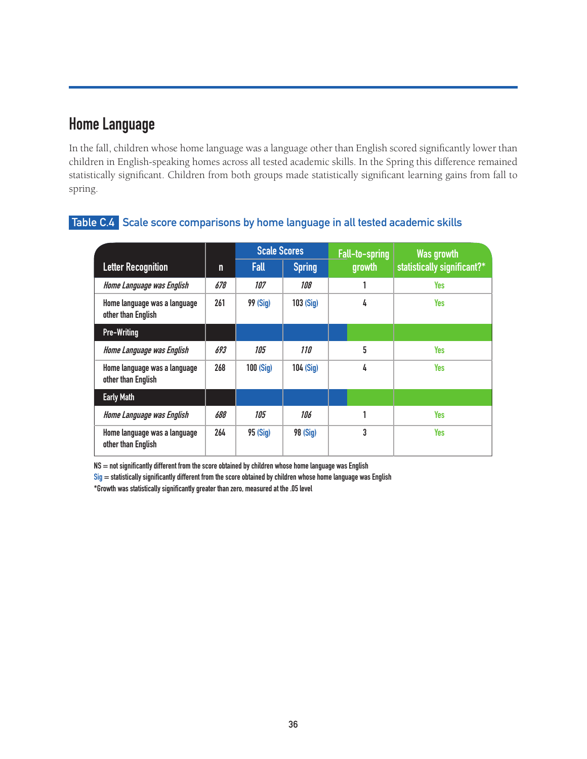# **Home Language**

In the fall, children whose home language was a language other than English scored significantly lower than children in English-speaking homes across all tested academic skills. In the Spring this difference remained statistically significant. Children from both groups made statistically significant learning gains from fall to spring.

|                                                    |     | <b>Scale Scores</b> |                 | Fall-to-spring | Was growth                  |
|----------------------------------------------------|-----|---------------------|-----------------|----------------|-----------------------------|
| <b>Letter Recognition</b>                          | n   | <b>Fall</b>         | <b>Spring</b>   | growth         | statistically significant?* |
| Home Language was English                          | 678 | 107                 | 108             |                | Yes                         |
| Home language was a language<br>other than English | 261 | <b>99 (Sig)</b>     | 103(Siq)        | 4              | Yes                         |
| <b>Pre-Writing</b>                                 |     |                     |                 |                |                             |
| Home Language was English                          | 693 | 105                 | <i>110</i>      | 5              | <b>Yes</b>                  |
| Home language was a language<br>other than English | 268 | 100(Siq)            | 104 (Sig)       | 4              | <b>Yes</b>                  |
| <b>Early Math</b>                                  |     |                     |                 |                |                             |
| Home Language was English                          | 688 | 105                 | 106             |                | Yes                         |
| Home language was a language<br>other than English | 264 | 95(Siq)             | <b>98 (Sig)</b> | 3              | <b>Yes</b>                  |

#### **Table C.4 Scale score comparisons by home language in all tested academic skills**

**NS = not significantly different from the score obtained by children whose home language was English**

**Sig = statistically significantly different from the score obtained by children whose home language was English**